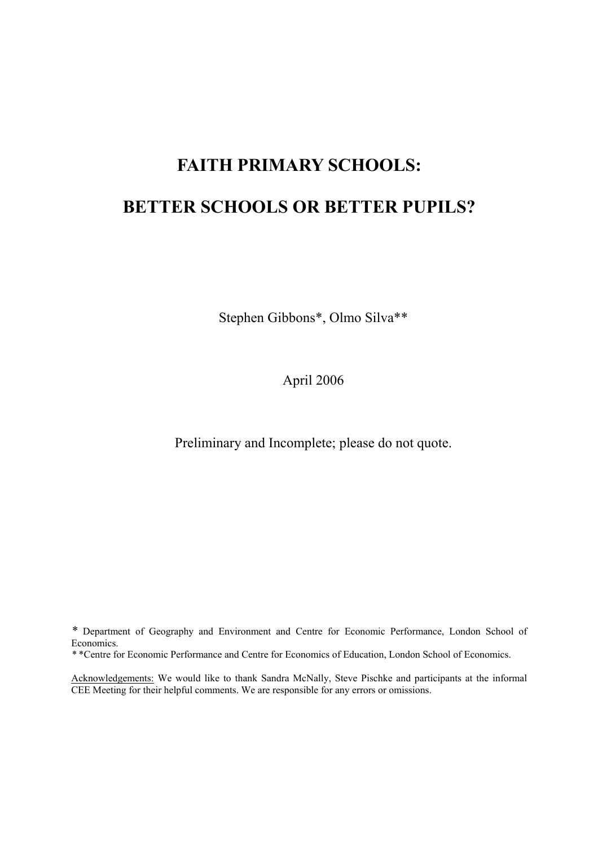# **FAITH PRIMARY SCHOOLS:**

# **BETTER SCHOOLS OR BETTER PUPILS?**

Stephen Gibbons\*, Olmo Silva\*\*

April 2006

Preliminary and Incomplete; please do not quote.

*\** Department of Geography and Environment and Centre for Economic Performance, London School of Economics.

*\** \*Centre for Economic Performance and Centre for Economics of Education, London School of Economics.

Acknowledgements: We would like to thank Sandra McNally, Steve Pischke and participants at the informal CEE Meeting for their helpful comments. We are responsible for any errors or omissions.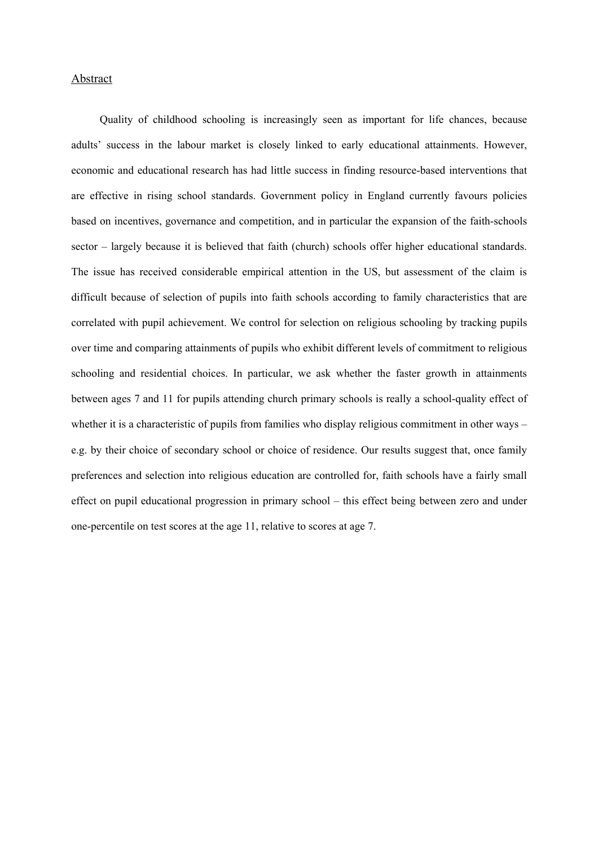### Abstract

Quality of childhood schooling is increasingly seen as important for life chances, because adults' success in the labour market is closely linked to early educational attainments. However, economic and educational research has had little success in finding resource-based interventions that are effective in rising school standards. Government policy in England currently favours policies based on incentives, governance and competition, and in particular the expansion of the faith-schools sector – largely because it is believed that faith (church) schools offer higher educational standards. The issue has received considerable empirical attention in the US, but assessment of the claim is difficult because of selection of pupils into faith schools according to family characteristics that are correlated with pupil achievement. We control for selection on religious schooling by tracking pupils over time and comparing attainments of pupils who exhibit different levels of commitment to religious schooling and residential choices. In particular, we ask whether the faster growth in attainments between ages 7 and 11 for pupils attending church primary schools is really a school-quality effect of whether it is a characteristic of pupils from families who display religious commitment in other ways – e.g. by their choice of secondary school or choice of residence. Our results suggest that, once family preferences and selection into religious education are controlled for, faith schools have a fairly small effect on pupil educational progression in primary school – this effect being between zero and under one-percentile on test scores at the age 11, relative to scores at age 7.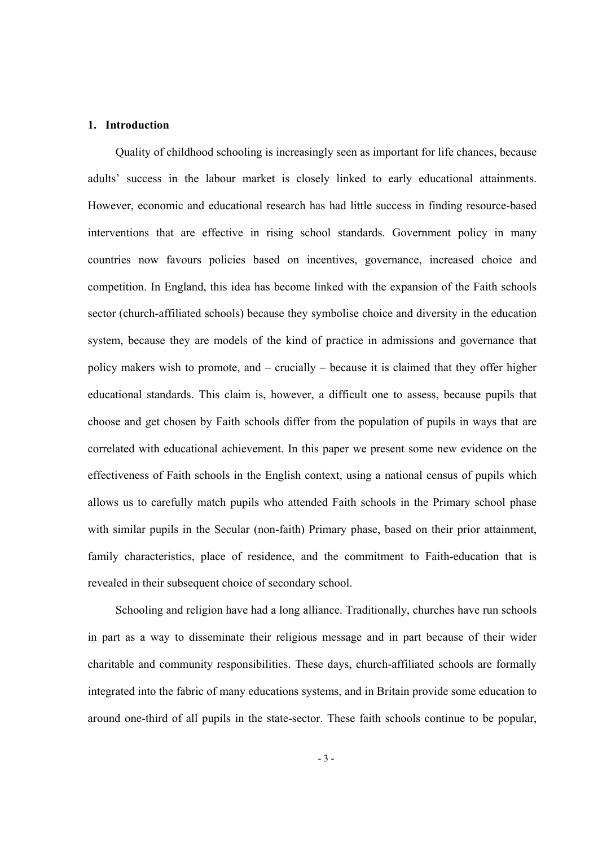# **1. Introduction**

Quality of childhood schooling is increasingly seen as important for life chances, because adults' success in the labour market is closely linked to early educational attainments. However, economic and educational research has had little success in finding resource-based interventions that are effective in rising school standards. Government policy in many countries now favours policies based on incentives, governance, increased choice and competition. In England, this idea has become linked with the expansion of the Faith schools sector (church-affiliated schools) because they symbolise choice and diversity in the education system, because they are models of the kind of practice in admissions and governance that policy makers wish to promote, and – crucially – because it is claimed that they offer higher educational standards. This claim is, however, a difficult one to assess, because pupils that choose and get chosen by Faith schools differ from the population of pupils in ways that are correlated with educational achievement. In this paper we present some new evidence on the effectiveness of Faith schools in the English context, using a national census of pupils which allows us to carefully match pupils who attended Faith schools in the Primary school phase with similar pupils in the Secular (non-faith) Primary phase, based on their prior attainment, family characteristics, place of residence, and the commitment to Faith-education that is revealed in their subsequent choice of secondary school.

Schooling and religion have had a long alliance. Traditionally, churches have run schools in part as a way to disseminate their religious message and in part because of their wider charitable and community responsibilities. These days, church-affiliated schools are formally integrated into the fabric of many educations systems, and in Britain provide some education to around one-third of all pupils in the state-sector. These faith schools continue to be popular,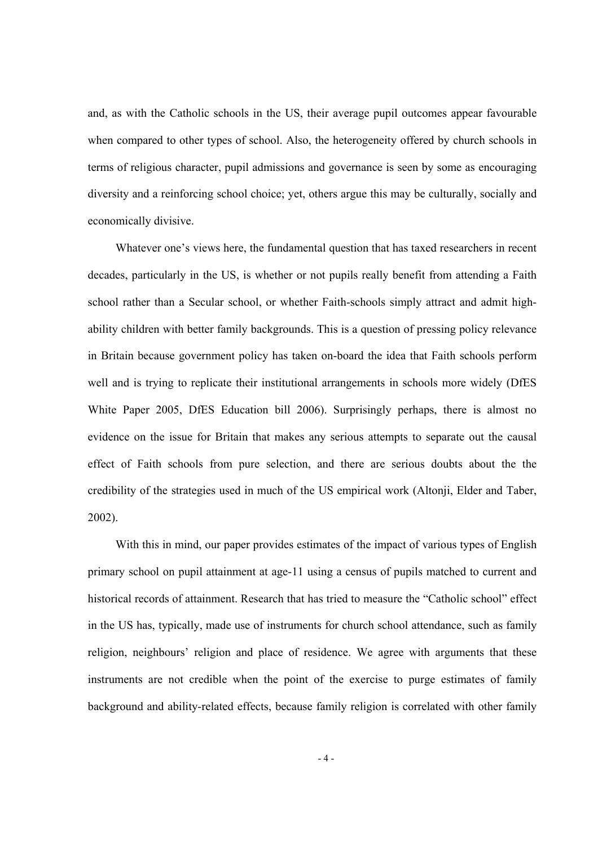and, as with the Catholic schools in the US, their average pupil outcomes appear favourable when compared to other types of school. Also, the heterogeneity offered by church schools in terms of religious character, pupil admissions and governance is seen by some as encouraging diversity and a reinforcing school choice; yet, others argue this may be culturally, socially and economically divisive.

Whatever one's views here, the fundamental question that has taxed researchers in recent decades, particularly in the US, is whether or not pupils really benefit from attending a Faith school rather than a Secular school, or whether Faith-schools simply attract and admit highability children with better family backgrounds. This is a question of pressing policy relevance in Britain because government policy has taken on-board the idea that Faith schools perform well and is trying to replicate their institutional arrangements in schools more widely (DfES White Paper 2005, DfES Education bill 2006). Surprisingly perhaps, there is almost no evidence on the issue for Britain that makes any serious attempts to separate out the causal effect of Faith schools from pure selection, and there are serious doubts about the the credibility of the strategies used in much of the US empirical work (Altonji, Elder and Taber, 2002).

With this in mind, our paper provides estimates of the impact of various types of English primary school on pupil attainment at age-11 using a census of pupils matched to current and historical records of attainment. Research that has tried to measure the "Catholic school" effect in the US has, typically, made use of instruments for church school attendance, such as family religion, neighbours' religion and place of residence. We agree with arguments that these instruments are not credible when the point of the exercise to purge estimates of family background and ability-related effects, because family religion is correlated with other family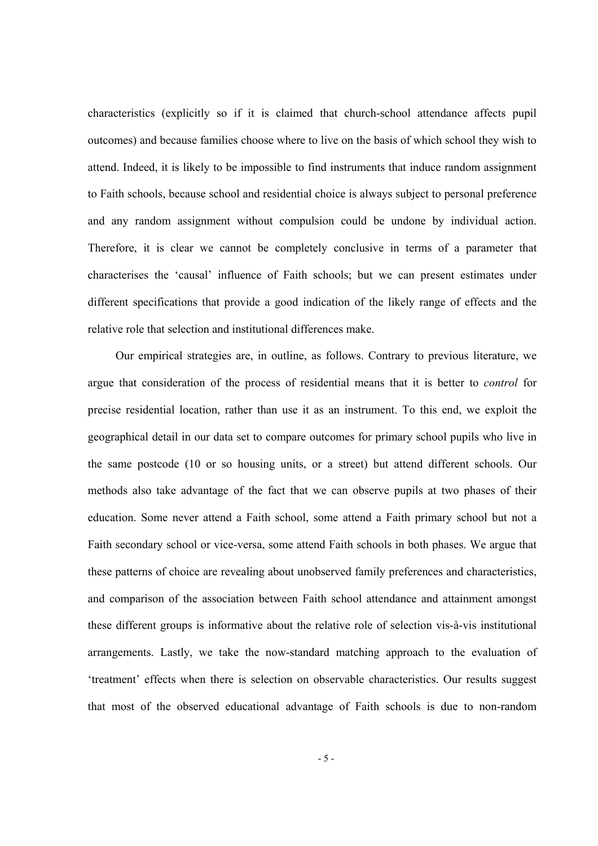characteristics (explicitly so if it is claimed that church-school attendance affects pupil outcomes) and because families choose where to live on the basis of which school they wish to attend. Indeed, it is likely to be impossible to find instruments that induce random assignment to Faith schools, because school and residential choice is always subject to personal preference and any random assignment without compulsion could be undone by individual action. Therefore, it is clear we cannot be completely conclusive in terms of a parameter that characterises the 'causal' influence of Faith schools; but we can present estimates under different specifications that provide a good indication of the likely range of effects and the relative role that selection and institutional differences make.

Our empirical strategies are, in outline, as follows. Contrary to previous literature, we argue that consideration of the process of residential means that it is better to *control* for precise residential location, rather than use it as an instrument. To this end, we exploit the geographical detail in our data set to compare outcomes for primary school pupils who live in the same postcode (10 or so housing units, or a street) but attend different schools. Our methods also take advantage of the fact that we can observe pupils at two phases of their education. Some never attend a Faith school, some attend a Faith primary school but not a Faith secondary school or vice-versa, some attend Faith schools in both phases. We argue that these patterns of choice are revealing about unobserved family preferences and characteristics, and comparison of the association between Faith school attendance and attainment amongst these different groups is informative about the relative role of selection vis-à-vis institutional arrangements. Lastly, we take the now-standard matching approach to the evaluation of 'treatment' effects when there is selection on observable characteristics. Our results suggest that most of the observed educational advantage of Faith schools is due to non-random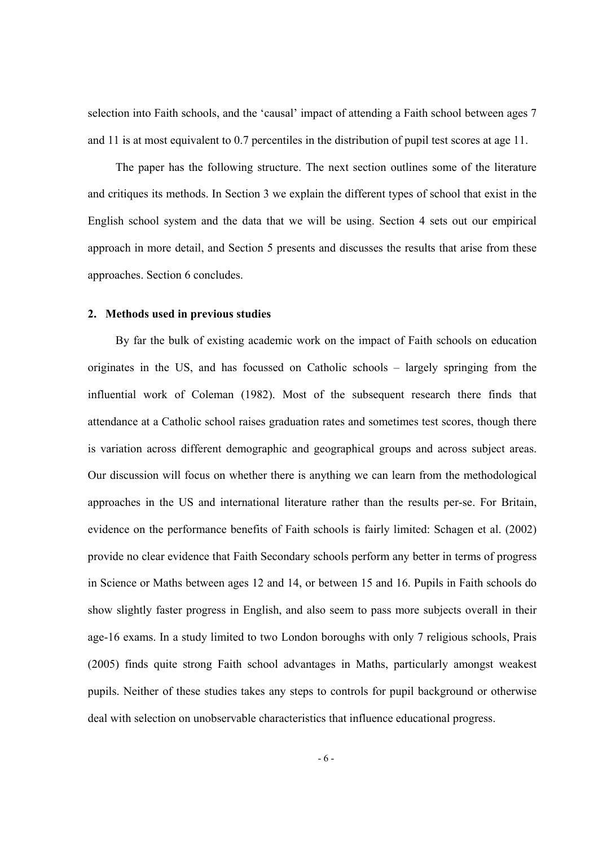selection into Faith schools, and the 'causal' impact of attending a Faith school between ages 7 and 11 is at most equivalent to 0.7 percentiles in the distribution of pupil test scores at age 11.

The paper has the following structure. The next section outlines some of the literature and critiques its methods. In Section 3 we explain the different types of school that exist in the English school system and the data that we will be using. Section 4 sets out our empirical approach in more detail, and Section 5 presents and discusses the results that arise from these approaches. Section 6 concludes.

# **2. Methods used in previous studies**

By far the bulk of existing academic work on the impact of Faith schools on education originates in the US, and has focussed on Catholic schools – largely springing from the influential work of Coleman (1982). Most of the subsequent research there finds that attendance at a Catholic school raises graduation rates and sometimes test scores, though there is variation across different demographic and geographical groups and across subject areas. Our discussion will focus on whether there is anything we can learn from the methodological approaches in the US and international literature rather than the results per-se. For Britain, evidence on the performance benefits of Faith schools is fairly limited: Schagen et al. (2002) provide no clear evidence that Faith Secondary schools perform any better in terms of progress in Science or Maths between ages 12 and 14, or between 15 and 16. Pupils in Faith schools do show slightly faster progress in English, and also seem to pass more subjects overall in their age-16 exams. In a study limited to two London boroughs with only 7 religious schools, Prais (2005) finds quite strong Faith school advantages in Maths, particularly amongst weakest pupils. Neither of these studies takes any steps to controls for pupil background or otherwise deal with selection on unobservable characteristics that influence educational progress.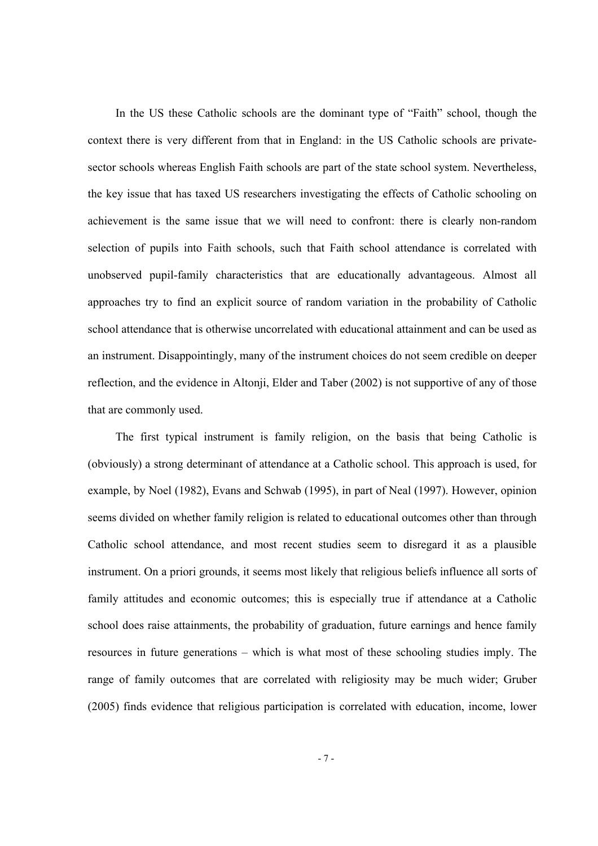In the US these Catholic schools are the dominant type of "Faith" school, though the context there is very different from that in England: in the US Catholic schools are privatesector schools whereas English Faith schools are part of the state school system. Nevertheless, the key issue that has taxed US researchers investigating the effects of Catholic schooling on achievement is the same issue that we will need to confront: there is clearly non-random selection of pupils into Faith schools, such that Faith school attendance is correlated with unobserved pupil-family characteristics that are educationally advantageous. Almost all approaches try to find an explicit source of random variation in the probability of Catholic school attendance that is otherwise uncorrelated with educational attainment and can be used as an instrument. Disappointingly, many of the instrument choices do not seem credible on deeper reflection, and the evidence in Altonji, Elder and Taber (2002) is not supportive of any of those that are commonly used.

The first typical instrument is family religion, on the basis that being Catholic is (obviously) a strong determinant of attendance at a Catholic school. This approach is used, for example, by Noel (1982), Evans and Schwab (1995), in part of Neal (1997). However, opinion seems divided on whether family religion is related to educational outcomes other than through Catholic school attendance, and most recent studies seem to disregard it as a plausible instrument. On a priori grounds, it seems most likely that religious beliefs influence all sorts of family attitudes and economic outcomes; this is especially true if attendance at a Catholic school does raise attainments, the probability of graduation, future earnings and hence family resources in future generations – which is what most of these schooling studies imply. The range of family outcomes that are correlated with religiosity may be much wider; Gruber (2005) finds evidence that religious participation is correlated with education, income, lower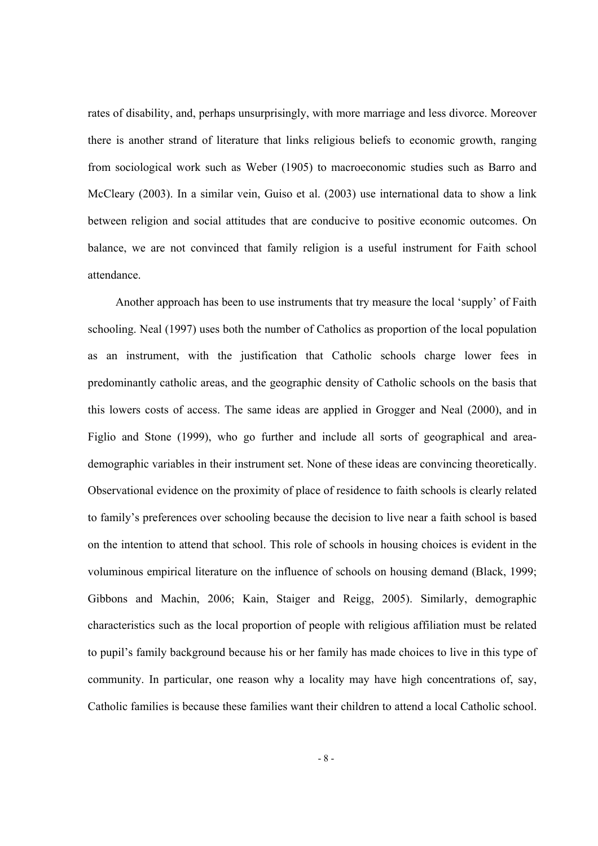rates of disability, and, perhaps unsurprisingly, with more marriage and less divorce. Moreover there is another strand of literature that links religious beliefs to economic growth, ranging from sociological work such as Weber (1905) to macroeconomic studies such as Barro and McCleary (2003). In a similar vein, Guiso et al. (2003) use international data to show a link between religion and social attitudes that are conducive to positive economic outcomes. On balance, we are not convinced that family religion is a useful instrument for Faith school attendance.

Another approach has been to use instruments that try measure the local 'supply' of Faith schooling. Neal (1997) uses both the number of Catholics as proportion of the local population as an instrument, with the justification that Catholic schools charge lower fees in predominantly catholic areas, and the geographic density of Catholic schools on the basis that this lowers costs of access. The same ideas are applied in Grogger and Neal (2000), and in Figlio and Stone (1999), who go further and include all sorts of geographical and areademographic variables in their instrument set. None of these ideas are convincing theoretically. Observational evidence on the proximity of place of residence to faith schools is clearly related to family's preferences over schooling because the decision to live near a faith school is based on the intention to attend that school. This role of schools in housing choices is evident in the voluminous empirical literature on the influence of schools on housing demand (Black, 1999; Gibbons and Machin, 2006; Kain, Staiger and Reigg, 2005). Similarly, demographic characteristics such as the local proportion of people with religious affiliation must be related to pupil's family background because his or her family has made choices to live in this type of community. In particular, one reason why a locality may have high concentrations of, say, Catholic families is because these families want their children to attend a local Catholic school.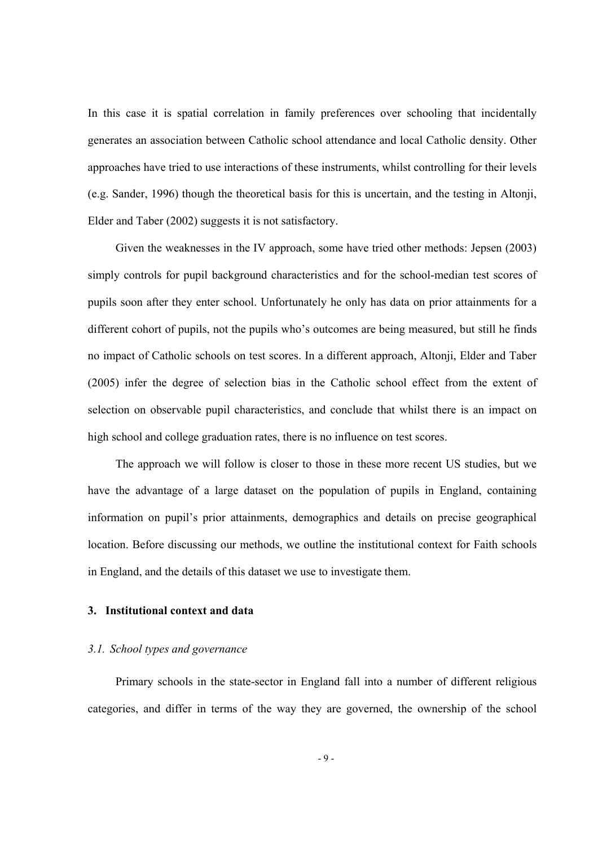In this case it is spatial correlation in family preferences over schooling that incidentally generates an association between Catholic school attendance and local Catholic density. Other approaches have tried to use interactions of these instruments, whilst controlling for their levels (e.g. Sander, 1996) though the theoretical basis for this is uncertain, and the testing in Altonji, Elder and Taber (2002) suggests it is not satisfactory.

Given the weaknesses in the IV approach, some have tried other methods: Jepsen (2003) simply controls for pupil background characteristics and for the school-median test scores of pupils soon after they enter school. Unfortunately he only has data on prior attainments for a different cohort of pupils, not the pupils who's outcomes are being measured, but still he finds no impact of Catholic schools on test scores. In a different approach, Altonji, Elder and Taber (2005) infer the degree of selection bias in the Catholic school effect from the extent of selection on observable pupil characteristics, and conclude that whilst there is an impact on high school and college graduation rates, there is no influence on test scores.

The approach we will follow is closer to those in these more recent US studies, but we have the advantage of a large dataset on the population of pupils in England, containing information on pupil's prior attainments, demographics and details on precise geographical location. Before discussing our methods, we outline the institutional context for Faith schools in England, and the details of this dataset we use to investigate them.

# **3. Institutional context and data**

# *3.1. School types and governance*

Primary schools in the state-sector in England fall into a number of different religious categories, and differ in terms of the way they are governed, the ownership of the school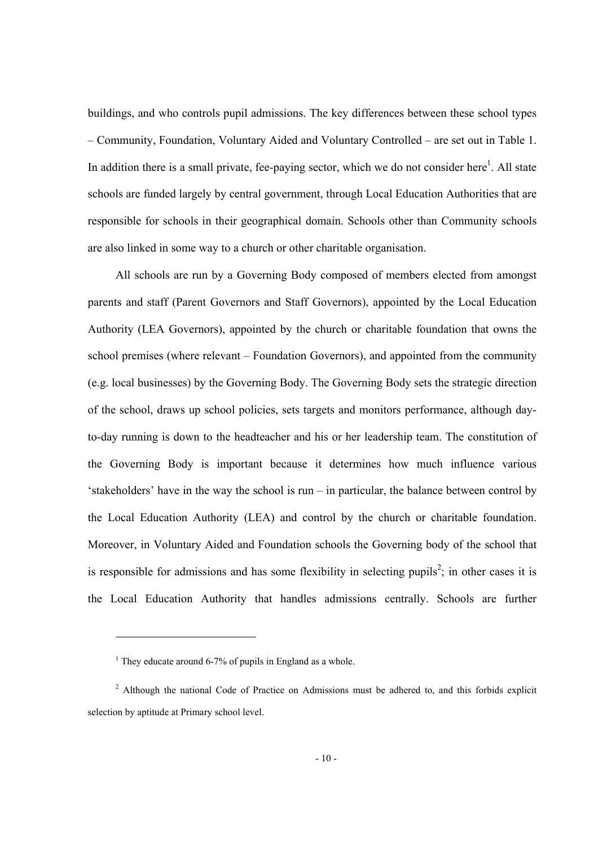buildings, and who controls pupil admissions. The key differences between these school types – Community, Foundation, Voluntary Aided and Voluntary Controlled – are set out in Table 1. In addition there is a small private, fee-paying sector, which we do not consider here $<sup>1</sup>$ . All state</sup> schools are funded largely by central government, through Local Education Authorities that are responsible for schools in their geographical domain. Schools other than Community schools are also linked in some way to a church or other charitable organisation.

All schools are run by a Governing Body composed of members elected from amongst parents and staff (Parent Governors and Staff Governors), appointed by the Local Education Authority (LEA Governors), appointed by the church or charitable foundation that owns the school premises (where relevant – Foundation Governors), and appointed from the community (e.g. local businesses) by the Governing Body. The Governing Body sets the strategic direction of the school, draws up school policies, sets targets and monitors performance, although dayto-day running is down to the headteacher and his or her leadership team. The constitution of the Governing Body is important because it determines how much influence various 'stakeholders' have in the way the school is run – in particular, the balance between control by the Local Education Authority (LEA) and control by the church or charitable foundation. Moreover, in Voluntary Aided and Foundation schools the Governing body of the school that is responsible for admissions and has some flexibility in selecting pupils<sup>2</sup>; in other cases it is the Local Education Authority that handles admissions centrally. Schools are further

-

 $<sup>1</sup>$  They educate around 6-7% of pupils in England as a whole.</sup>

<sup>&</sup>lt;sup>2</sup> Although the national Code of Practice on Admissions must be adhered to, and this forbids explicit selection by aptitude at Primary school level.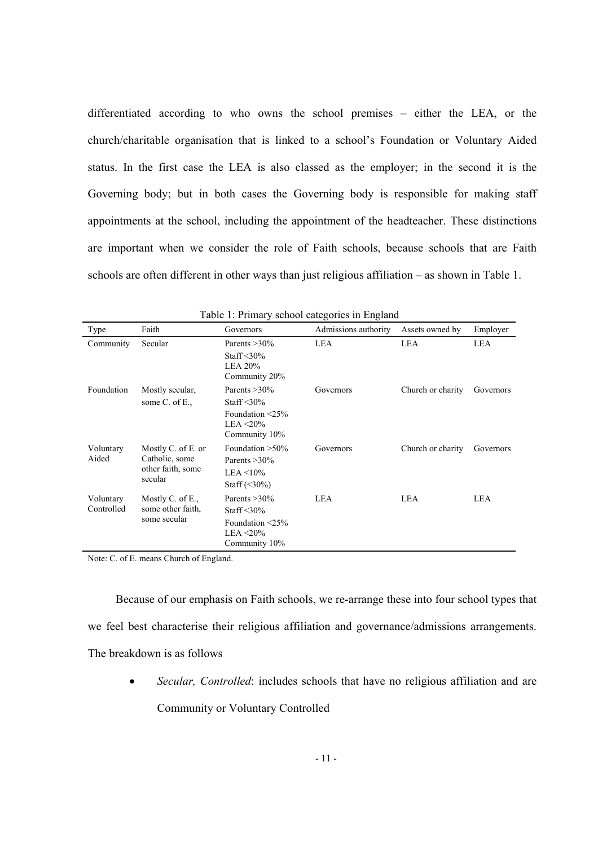differentiated according to who owns the school premises – either the LEA, or the church/charitable organisation that is linked to a school's Foundation or Voluntary Aided status. In the first case the LEA is also classed as the employer; in the second it is the Governing body; but in both cases the Governing body is responsible for making staff appointments at the school, including the appointment of the headteacher. These distinctions are important when we consider the role of Faith schools, because schools that are Faith schools are often different in other ways than just religious affiliation – as shown in Table 1.

| Type                    | Faith                                                                | Governors                                                                                        | Admissions authority | Assets owned by   | Employer  |
|-------------------------|----------------------------------------------------------------------|--------------------------------------------------------------------------------------------------|----------------------|-------------------|-----------|
| Community               | Secular                                                              | Parents $>30\%$<br>Staff $\leq 30\%$<br>LEA 20%<br>Community 20%                                 | LEA                  | LEA               | LEA       |
| Foundation              | Mostly secular,<br>some $C$ . of $E$ .,                              | Parents $>30\%$<br>Staff $\leq 30\%$<br>Foundation $\leq$ 25%<br>LEA $\leq$ 20%<br>Community 10% | Governors            | Church or charity | Governors |
| Voluntary<br>Aided      | Mostly C. of E. or<br>Catholic, some<br>other faith, some<br>secular | Foundation $>50\%$<br>Parents $>30\%$<br>$LEA \leq 10\%$<br>Staff $(\leq 30\%)$                  | Governors            | Church or charity | Governors |
| Voluntary<br>Controlled | Mostly C. of E.,<br>some other faith,<br>some secular                | Parents $>30\%$<br>Staff $\leq 30\%$<br>Foundation $\leq$ 25%<br>$LEA < 20\%$<br>Community 10%   | LEA.                 | LEA.              | LEA       |

Table 1: Primary school categories in England

Note: C. of E. means Church of England.

Because of our emphasis on Faith schools, we re-arrange these into four school types that we feel best characterise their religious affiliation and governance/admissions arrangements. The breakdown is as follows

• *Secular, Controlled*: includes schools that have no religious affiliation and are Community or Voluntary Controlled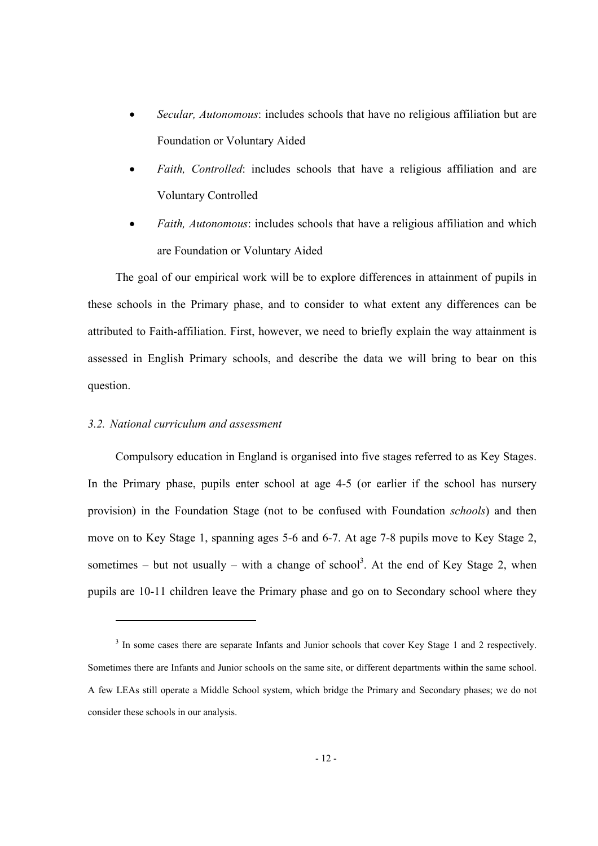- *Secular, Autonomous*: includes schools that have no religious affiliation but are Foundation or Voluntary Aided
- *Faith, Controlled*: includes schools that have a religious affiliation and are Voluntary Controlled
- *Faith, Autonomous*: includes schools that have a religious affiliation and which are Foundation or Voluntary Aided

The goal of our empirical work will be to explore differences in attainment of pupils in these schools in the Primary phase, and to consider to what extent any differences can be attributed to Faith-affiliation. First, however, we need to briefly explain the way attainment is assessed in English Primary schools, and describe the data we will bring to bear on this question.

# *3.2. National curriculum and assessment*

-

Compulsory education in England is organised into five stages referred to as Key Stages. In the Primary phase, pupils enter school at age 4-5 (or earlier if the school has nursery provision) in the Foundation Stage (not to be confused with Foundation *schools*) and then move on to Key Stage 1, spanning ages 5-6 and 6-7. At age 7-8 pupils move to Key Stage 2, sometimes – but not usually – with a change of school<sup>3</sup>. At the end of Key Stage 2, when pupils are 10-11 children leave the Primary phase and go on to Secondary school where they

<sup>&</sup>lt;sup>3</sup> In some cases there are separate Infants and Junior schools that cover Key Stage 1 and 2 respectively. Sometimes there are Infants and Junior schools on the same site, or different departments within the same school. A few LEAs still operate a Middle School system, which bridge the Primary and Secondary phases; we do not consider these schools in our analysis.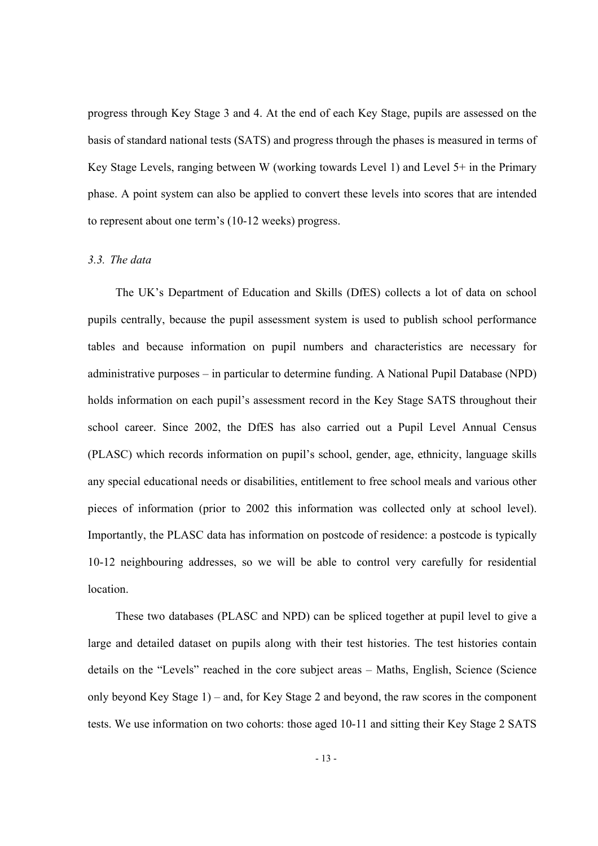progress through Key Stage 3 and 4. At the end of each Key Stage, pupils are assessed on the basis of standard national tests (SATS) and progress through the phases is measured in terms of Key Stage Levels, ranging between W (working towards Level 1) and Level 5+ in the Primary phase. A point system can also be applied to convert these levels into scores that are intended to represent about one term's (10-12 weeks) progress.

### *3.3. The data*

The UK's Department of Education and Skills (DfES) collects a lot of data on school pupils centrally, because the pupil assessment system is used to publish school performance tables and because information on pupil numbers and characteristics are necessary for administrative purposes – in particular to determine funding. A National Pupil Database (NPD) holds information on each pupil's assessment record in the Key Stage SATS throughout their school career. Since 2002, the DfES has also carried out a Pupil Level Annual Census (PLASC) which records information on pupil's school, gender, age, ethnicity, language skills any special educational needs or disabilities, entitlement to free school meals and various other pieces of information (prior to 2002 this information was collected only at school level). Importantly, the PLASC data has information on postcode of residence: a postcode is typically 10-12 neighbouring addresses, so we will be able to control very carefully for residential location.

These two databases (PLASC and NPD) can be spliced together at pupil level to give a large and detailed dataset on pupils along with their test histories. The test histories contain details on the "Levels" reached in the core subject areas – Maths, English, Science (Science only beyond Key Stage 1) – and, for Key Stage 2 and beyond, the raw scores in the component tests. We use information on two cohorts: those aged 10-11 and sitting their Key Stage 2 SATS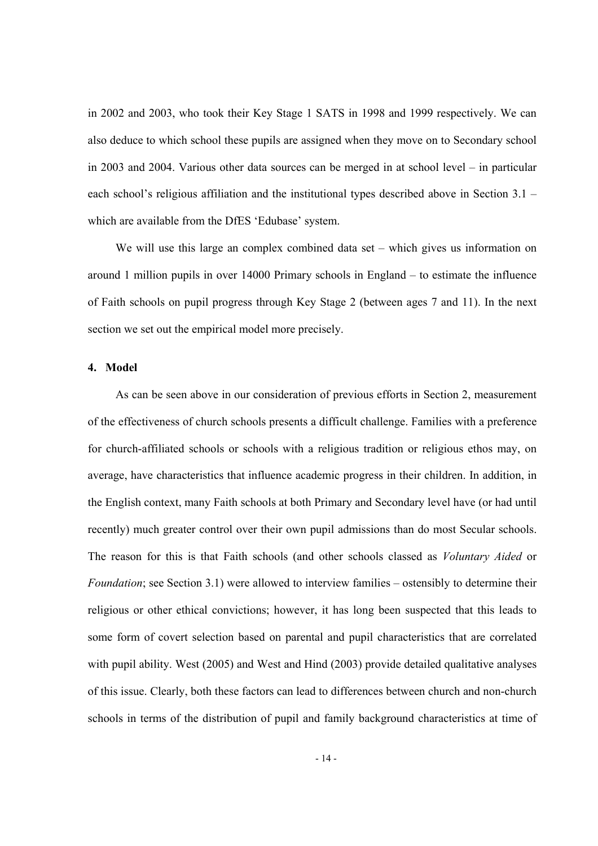in 2002 and 2003, who took their Key Stage 1 SATS in 1998 and 1999 respectively. We can also deduce to which school these pupils are assigned when they move on to Secondary school in 2003 and 2004. Various other data sources can be merged in at school level – in particular each school's religious affiliation and the institutional types described above in Section 3.1 – which are available from the DfES 'Edubase' system.

We will use this large an complex combined data set – which gives us information on around 1 million pupils in over 14000 Primary schools in England – to estimate the influence of Faith schools on pupil progress through Key Stage 2 (between ages 7 and 11). In the next section we set out the empirical model more precisely.

### **4. Model**

As can be seen above in our consideration of previous efforts in Section 2, measurement of the effectiveness of church schools presents a difficult challenge. Families with a preference for church-affiliated schools or schools with a religious tradition or religious ethos may, on average, have characteristics that influence academic progress in their children. In addition, in the English context, many Faith schools at both Primary and Secondary level have (or had until recently) much greater control over their own pupil admissions than do most Secular schools. The reason for this is that Faith schools (and other schools classed as *Voluntary Aided* or *Foundation*; see Section 3.1) were allowed to interview families – ostensibly to determine their religious or other ethical convictions; however, it has long been suspected that this leads to some form of covert selection based on parental and pupil characteristics that are correlated with pupil ability. West (2005) and West and Hind (2003) provide detailed qualitative analyses of this issue. Clearly, both these factors can lead to differences between church and non-church schools in terms of the distribution of pupil and family background characteristics at time of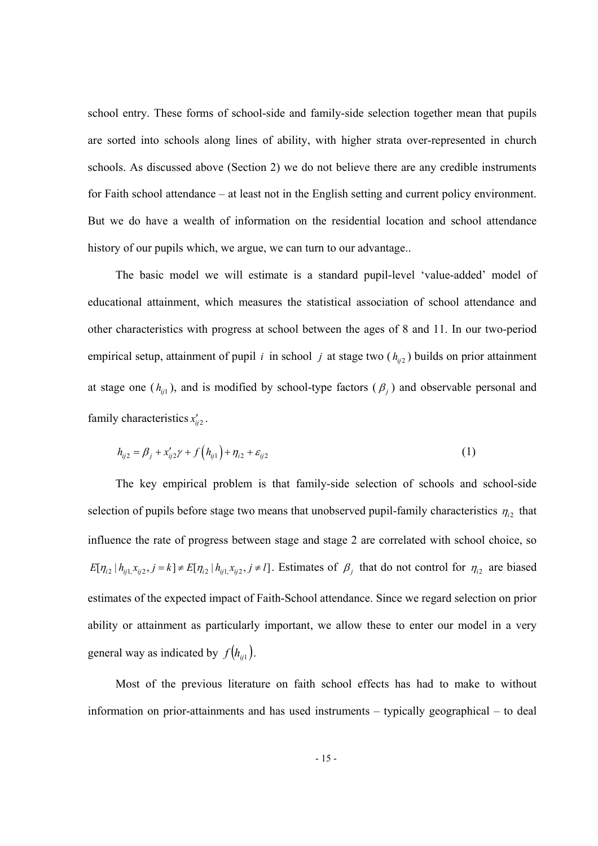school entry. These forms of school-side and family-side selection together mean that pupils are sorted into schools along lines of ability, with higher strata over-represented in church schools. As discussed above (Section 2) we do not believe there are any credible instruments for Faith school attendance – at least not in the English setting and current policy environment. But we do have a wealth of information on the residential location and school attendance history of our pupils which, we argue, we can turn to our advantage..

The basic model we will estimate is a standard pupil-level 'value-added' model of educational attainment, which measures the statistical association of school attendance and other characteristics with progress at school between the ages of 8 and 11. In our two-period empirical setup, attainment of pupil *i* in school *j* at stage two  $(h_{ii2})$  builds on prior attainment at stage one  $(h_{ij1})$ , and is modified by school-type factors  $(\beta_i)$  and observable personal and family characteristics  $x'_{ii2}$ .

$$
h_{ij2} = \beta_j + x_{ij2}' \gamma + f(h_{ij1}) + \eta_{i2} + \varepsilon_{ij2}
$$
 (1)

The key empirical problem is that family-side selection of schools and school-side selection of pupils before stage two means that unobserved pupil-family characteristics  $\eta_{i2}$  that influence the rate of progress between stage and stage 2 are correlated with school choice, so  $E[\eta_{i2} | h_{ij1}, x_{ij2}, j = k] \neq E[\eta_{i2} | h_{ij1}, x_{ij2}, j \neq l]$ . Estimates of  $\beta_j$  that do not control for  $\eta_{i2}$  are biased estimates of the expected impact of Faith-School attendance. Since we regard selection on prior ability or attainment as particularly important, we allow these to enter our model in a very general way as indicated by  $f(h_{ii})$ .

Most of the previous literature on faith school effects has had to make to without information on prior-attainments and has used instruments – typically geographical – to deal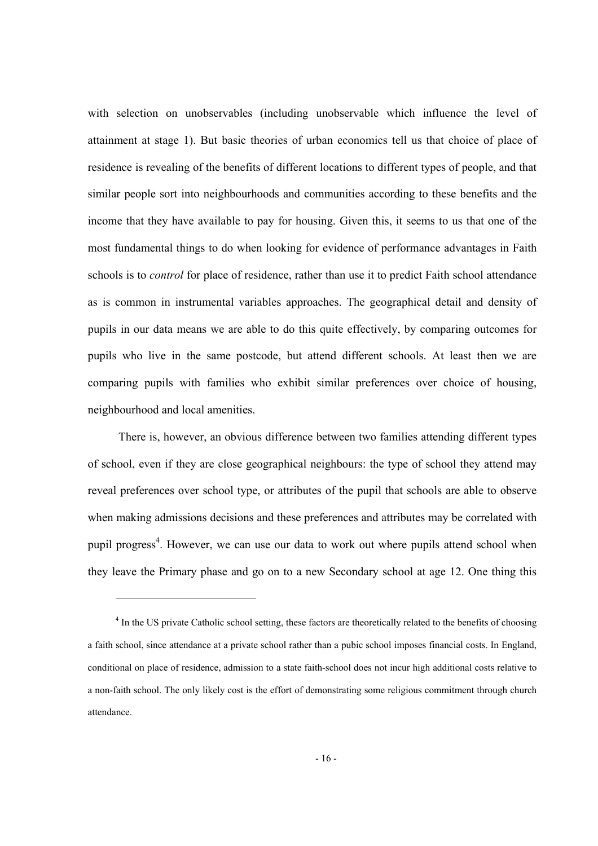with selection on unobservables (including unobservable which influence the level of attainment at stage 1). But basic theories of urban economics tell us that choice of place of residence is revealing of the benefits of different locations to different types of people, and that similar people sort into neighbourhoods and communities according to these benefits and the income that they have available to pay for housing. Given this, it seems to us that one of the most fundamental things to do when looking for evidence of performance advantages in Faith schools is to *control* for place of residence, rather than use it to predict Faith school attendance as is common in instrumental variables approaches. The geographical detail and density of pupils in our data means we are able to do this quite effectively, by comparing outcomes for pupils who live in the same postcode, but attend different schools. At least then we are comparing pupils with families who exhibit similar preferences over choice of housing, neighbourhood and local amenities.

 There is, however, an obvious difference between two families attending different types of school, even if they are close geographical neighbours: the type of school they attend may reveal preferences over school type, or attributes of the pupil that schools are able to observe when making admissions decisions and these preferences and attributes may be correlated with pupil progress<sup>4</sup>. However, we can use our data to work out where pupils attend school when they leave the Primary phase and go on to a new Secondary school at age 12. One thing this

-

<sup>&</sup>lt;sup>4</sup> In the US private Catholic school setting, these factors are theoretically related to the benefits of choosing a faith school, since attendance at a private school rather than a pubic school imposes financial costs. In England, conditional on place of residence, admission to a state faith-school does not incur high additional costs relative to a non-faith school. The only likely cost is the effort of demonstrating some religious commitment through church attendance.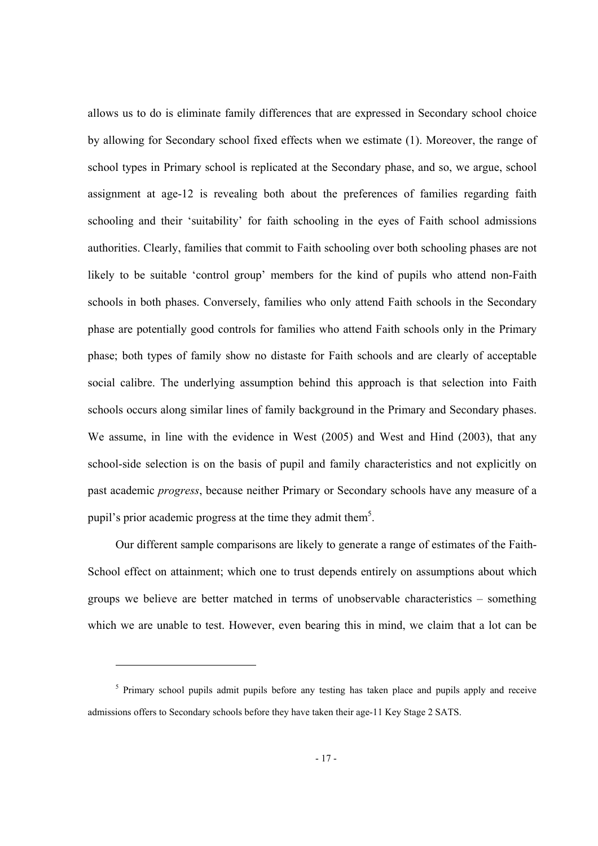allows us to do is eliminate family differences that are expressed in Secondary school choice by allowing for Secondary school fixed effects when we estimate (1). Moreover, the range of school types in Primary school is replicated at the Secondary phase, and so, we argue, school assignment at age-12 is revealing both about the preferences of families regarding faith schooling and their 'suitability' for faith schooling in the eyes of Faith school admissions authorities. Clearly, families that commit to Faith schooling over both schooling phases are not likely to be suitable 'control group' members for the kind of pupils who attend non-Faith schools in both phases. Conversely, families who only attend Faith schools in the Secondary phase are potentially good controls for families who attend Faith schools only in the Primary phase; both types of family show no distaste for Faith schools and are clearly of acceptable social calibre. The underlying assumption behind this approach is that selection into Faith schools occurs along similar lines of family background in the Primary and Secondary phases. We assume, in line with the evidence in West (2005) and West and Hind (2003), that any school-side selection is on the basis of pupil and family characteristics and not explicitly on past academic *progress*, because neither Primary or Secondary schools have any measure of a pupil's prior academic progress at the time they admit them<sup>5</sup>.

Our different sample comparisons are likely to generate a range of estimates of the Faith-School effect on attainment; which one to trust depends entirely on assumptions about which groups we believe are better matched in terms of unobservable characteristics – something which we are unable to test. However, even bearing this in mind, we claim that a lot can be

-

<sup>&</sup>lt;sup>5</sup> Primary school pupils admit pupils before any testing has taken place and pupils apply and receive admissions offers to Secondary schools before they have taken their age-11 Key Stage 2 SATS.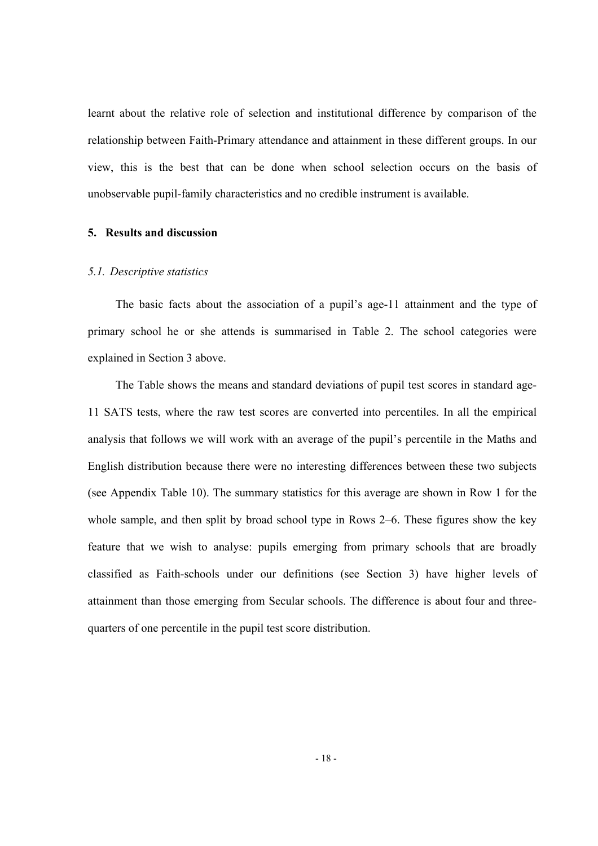learnt about the relative role of selection and institutional difference by comparison of the relationship between Faith-Primary attendance and attainment in these different groups. In our view, this is the best that can be done when school selection occurs on the basis of unobservable pupil-family characteristics and no credible instrument is available.

# **5. Results and discussion**

### *5.1. Descriptive statistics*

The basic facts about the association of a pupil's age-11 attainment and the type of primary school he or she attends is summarised in Table 2. The school categories were explained in Section 3 above.

The Table shows the means and standard deviations of pupil test scores in standard age-11 SATS tests, where the raw test scores are converted into percentiles. In all the empirical analysis that follows we will work with an average of the pupil's percentile in the Maths and English distribution because there were no interesting differences between these two subjects (see Appendix Table 10). The summary statistics for this average are shown in Row 1 for the whole sample, and then split by broad school type in Rows 2–6. These figures show the key feature that we wish to analyse: pupils emerging from primary schools that are broadly classified as Faith-schools under our definitions (see Section 3) have higher levels of attainment than those emerging from Secular schools. The difference is about four and threequarters of one percentile in the pupil test score distribution.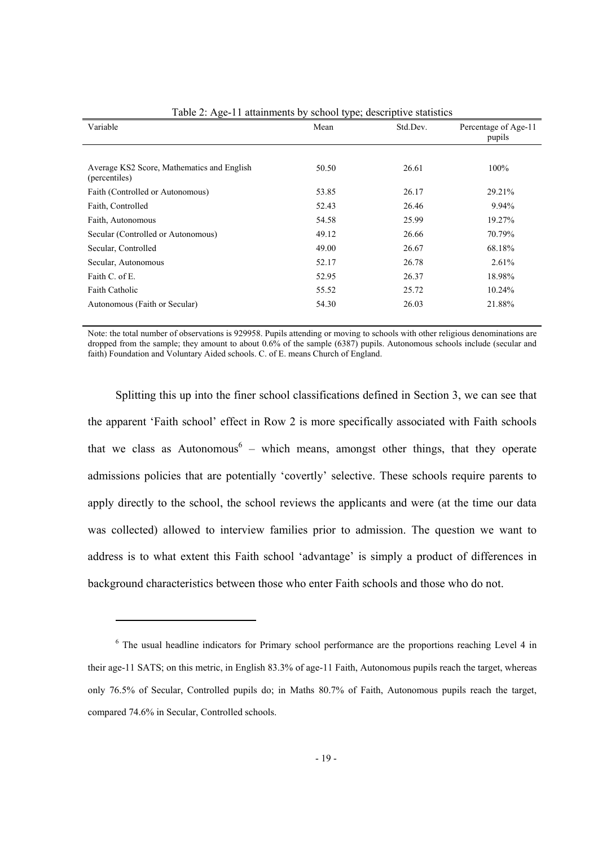| $14010 = 1150 + 11404$<br>$\frac{1}{2}$                     |       |          |                                |  |  |  |  |  |
|-------------------------------------------------------------|-------|----------|--------------------------------|--|--|--|--|--|
| Variable                                                    | Mean  | Std.Dev. | Percentage of Age-11<br>pupils |  |  |  |  |  |
|                                                             |       |          |                                |  |  |  |  |  |
| Average KS2 Score, Mathematics and English<br>(percentiles) | 50.50 | 26.61    | 100%                           |  |  |  |  |  |
| Faith (Controlled or Autonomous)                            | 53.85 | 26.17    | 29.21%                         |  |  |  |  |  |
| Faith, Controlled                                           | 52.43 | 26.46    | 9.94%                          |  |  |  |  |  |
| Faith, Autonomous                                           | 54.58 | 25.99    | 19.27%                         |  |  |  |  |  |
| Secular (Controlled or Autonomous)                          | 49.12 | 26.66    | 70.79%                         |  |  |  |  |  |
| Secular, Controlled                                         | 49.00 | 26.67    | 68.18%                         |  |  |  |  |  |
| Secular, Autonomous                                         | 52.17 | 26.78    | 2.61%                          |  |  |  |  |  |
| Faith C. of E.                                              | 52.95 | 26.37    | 18.98%                         |  |  |  |  |  |
| <b>Faith Catholic</b>                                       | 55.52 | 25.72    | 10.24%                         |  |  |  |  |  |
| Autonomous (Faith or Secular)                               | 54.30 | 26.03    | 21.88%                         |  |  |  |  |  |

Table 2: Age-11 attainments by school type; descriptive statistics

Note: the total number of observations is 929958. Pupils attending or moving to schools with other religious denominations are dropped from the sample; they amount to about 0.6% of the sample (6387) pupils. Autonomous schools include (secular and faith) Foundation and Voluntary Aided schools. C. of E. means Church of England.

Splitting this up into the finer school classifications defined in Section 3, we can see that the apparent 'Faith school' effect in Row 2 is more specifically associated with Faith schools that we class as Autonomous<sup>6</sup> – which means, amongst other things, that they operate admissions policies that are potentially 'covertly' selective. These schools require parents to apply directly to the school, the school reviews the applicants and were (at the time our data was collected) allowed to interview families prior to admission. The question we want to address is to what extent this Faith school 'advantage' is simply a product of differences in background characteristics between those who enter Faith schools and those who do not.

-

<sup>&</sup>lt;sup>6</sup> The usual headline indicators for Primary school performance are the proportions reaching Level 4 in their age-11 SATS; on this metric, in English 83.3% of age-11 Faith, Autonomous pupils reach the target, whereas only 76.5% of Secular, Controlled pupils do; in Maths 80.7% of Faith, Autonomous pupils reach the target, compared 74.6% in Secular, Controlled schools.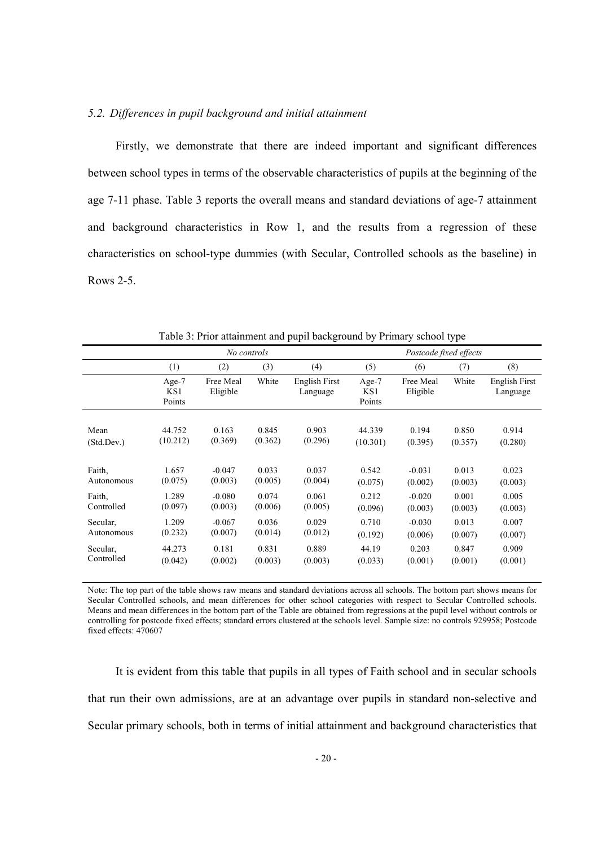# *5.2. Differences in pupil background and initial attainment*

Firstly, we demonstrate that there are indeed important and significant differences between school types in terms of the observable characteristics of pupils at the beginning of the age 7-11 phase. Table 3 reports the overall means and standard deviations of age-7 attainment and background characteristics in Row 1, and the results from a regression of these characteristics on school-type dummies (with Secular, Controlled schools as the baseline) in Rows 2-5.

|            | No controls            |                       |         |                           | Postcode fixed effects |                       |         |                           |
|------------|------------------------|-----------------------|---------|---------------------------|------------------------|-----------------------|---------|---------------------------|
|            | (1)                    | (2)                   | (3)     | (4)                       | (5)                    | (6)                   | (7)     | (8)                       |
|            | Age-7<br>KS1<br>Points | Free Meal<br>Eligible | White   | English First<br>Language | Age-7<br>KS1<br>Points | Free Meal<br>Eligible | White   | English First<br>Language |
| Mean       | 44.752                 | 0.163                 | 0.845   | 0.903                     | 44.339                 | 0.194                 | 0.850   | 0.914                     |
| (Std.Dev.) | (10.212)               | (0.369)               | (0.362) | (0.296)                   | (10.301)               | (0.395)               | (0.357) | (0.280)                   |
| Faith,     | 1.657                  | $-0.047$              | 0.033   | 0.037                     | 0.542                  | $-0.031$              | 0.013   | 0.023                     |
| Autonomous | (0.075)                | (0.003)               | (0.005) | (0.004)                   | (0.075)                | (0.002)               | (0.003) | (0.003)                   |
| Faith,     | 1.289                  | $-0.080$              | 0.074   | 0.061                     | 0.212                  | $-0.020$              | 0.001   | 0.005                     |
| Controlled | (0.097)                | (0.003)               | (0.006) | (0.005)                   | (0.096)                | (0.003)               | (0.003) | (0.003)                   |
| Secular.   | 1.209                  | $-0.067$              | 0.036   | 0.029                     | 0.710                  | $-0.030$              | 0.013   | 0.007                     |
| Autonomous | (0.232)                | (0.007)               | (0.014) | (0.012)                   | (0.192)                | (0.006)               | (0.007) | (0.007)                   |
| Secular.   | 44.273                 | 0.181                 | 0.831   | 0.889                     | 44.19                  | 0.203                 | 0.847   | 0.909                     |
| Controlled | (0.042)                | (0.002)               | (0.003) | (0.003)                   | (0.033)                | (0.001)               | (0.001) | (0.001)                   |

Table 3: Prior attainment and pupil background by Primary school type

Note: The top part of the table shows raw means and standard deviations across all schools. The bottom part shows means for Secular Controlled schools, and mean differences for other school categories with respect to Secular Controlled schools. Means and mean differences in the bottom part of the Table are obtained from regressions at the pupil level without controls or controlling for postcode fixed effects; standard errors clustered at the schools level. Sample size: no controls 929958; Postcode fixed effects: 470607

It is evident from this table that pupils in all types of Faith school and in secular schools that run their own admissions, are at an advantage over pupils in standard non-selective and Secular primary schools, both in terms of initial attainment and background characteristics that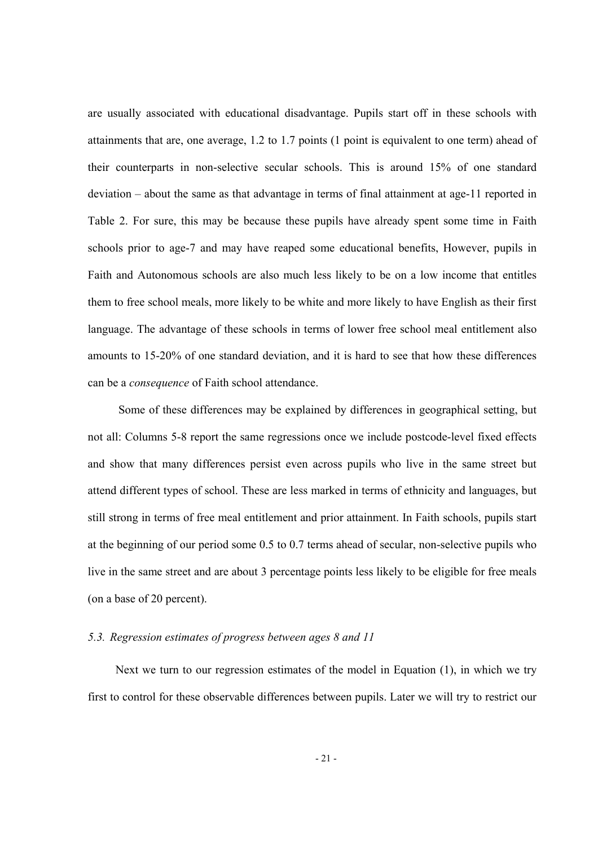are usually associated with educational disadvantage. Pupils start off in these schools with attainments that are, one average, 1.2 to 1.7 points (1 point is equivalent to one term) ahead of their counterparts in non-selective secular schools. This is around 15% of one standard deviation – about the same as that advantage in terms of final attainment at age-11 reported in Table 2. For sure, this may be because these pupils have already spent some time in Faith schools prior to age-7 and may have reaped some educational benefits, However, pupils in Faith and Autonomous schools are also much less likely to be on a low income that entitles them to free school meals, more likely to be white and more likely to have English as their first language. The advantage of these schools in terms of lower free school meal entitlement also amounts to 15-20% of one standard deviation, and it is hard to see that how these differences can be a *consequence* of Faith school attendance.

 Some of these differences may be explained by differences in geographical setting, but not all: Columns 5-8 report the same regressions once we include postcode-level fixed effects and show that many differences persist even across pupils who live in the same street but attend different types of school. These are less marked in terms of ethnicity and languages, but still strong in terms of free meal entitlement and prior attainment. In Faith schools, pupils start at the beginning of our period some 0.5 to 0.7 terms ahead of secular, non-selective pupils who live in the same street and are about 3 percentage points less likely to be eligible for free meals (on a base of 20 percent).

# *5.3. Regression estimates of progress between ages 8 and 11*

Next we turn to our regression estimates of the model in Equation (1), in which we try first to control for these observable differences between pupils. Later we will try to restrict our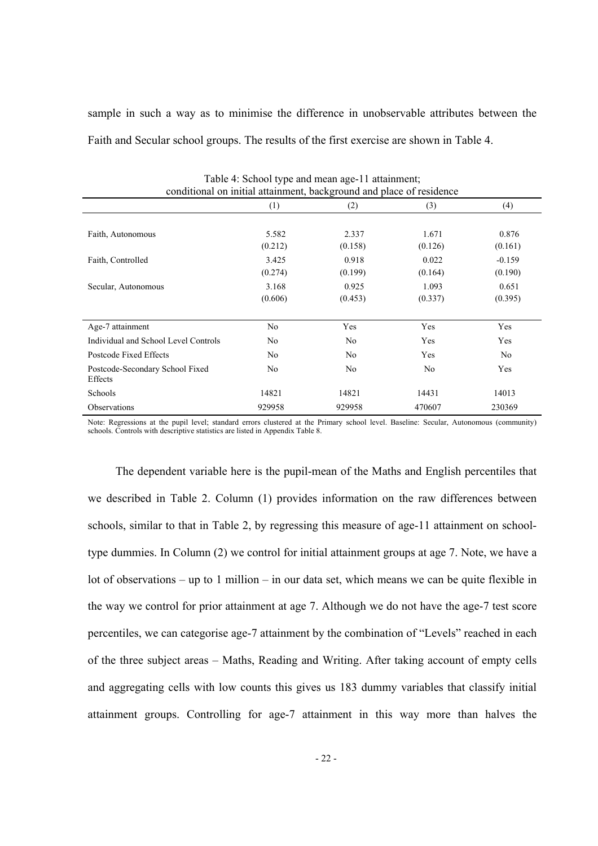sample in such a way as to minimise the difference in unobservable attributes between the Faith and Secular school groups. The results of the first exercise are shown in Table 4.

| conditional on initial attainment, background and place of residence |                  |                  |                  |                     |  |  |  |  |
|----------------------------------------------------------------------|------------------|------------------|------------------|---------------------|--|--|--|--|
|                                                                      | (1)              | (2)              | (3)              | (4)                 |  |  |  |  |
| Faith, Autonomous                                                    | 5.582<br>(0.212) | 2.337<br>(0.158) | 1.671<br>(0.126) | 0.876<br>(0.161)    |  |  |  |  |
| Faith, Controlled                                                    | 3.425<br>(0.274) | 0.918<br>(0.199) | 0.022<br>(0.164) | $-0.159$<br>(0.190) |  |  |  |  |
| Secular, Autonomous                                                  | 3.168<br>(0.606) | 0.925<br>(0.453) | 1.093<br>(0.337) | 0.651<br>(0.395)    |  |  |  |  |
| Age-7 attainment                                                     | No               | Yes              | Yes              | Yes                 |  |  |  |  |
| Individual and School Level Controls                                 | No               | No               | Yes              | Yes                 |  |  |  |  |
| Postcode Fixed Effects                                               | N <sub>0</sub>   | No               | Yes              | No                  |  |  |  |  |
| Postcode-Secondary School Fixed<br>Effects                           | No               | N <sub>0</sub>   | No               | Yes                 |  |  |  |  |
| Schools                                                              | 14821            | 14821            | 14431            | 14013               |  |  |  |  |
| <b>Observations</b>                                                  | 929958           | 929958           | 470607           | 230369              |  |  |  |  |

 $T_{\rm c}$ 11.  $\bf{4}$ :  $S_{\rm c}$ 1.  $\bf{14}$  type and means age-11 attainment;

Note: Regressions at the pupil level; standard errors clustered at the Primary school level. Baseline: Secular, Autonomous (community) schools. Controls with descriptive statistics are listed in Appendix Table 8.

The dependent variable here is the pupil-mean of the Maths and English percentiles that we described in Table 2. Column (1) provides information on the raw differences between schools, similar to that in Table 2, by regressing this measure of age-11 attainment on schooltype dummies. In Column (2) we control for initial attainment groups at age 7. Note, we have a lot of observations – up to 1 million – in our data set, which means we can be quite flexible in the way we control for prior attainment at age 7. Although we do not have the age-7 test score percentiles, we can categorise age-7 attainment by the combination of "Levels" reached in each of the three subject areas – Maths, Reading and Writing. After taking account of empty cells and aggregating cells with low counts this gives us 183 dummy variables that classify initial attainment groups. Controlling for age-7 attainment in this way more than halves the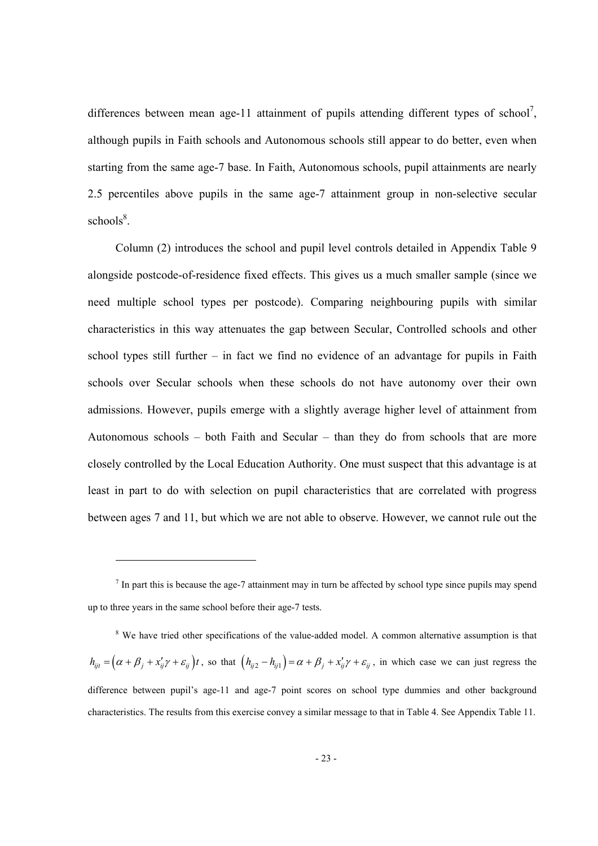differences between mean age-11 attainment of pupils attending different types of school<sup>7</sup>, although pupils in Faith schools and Autonomous schools still appear to do better, even when starting from the same age-7 base. In Faith, Autonomous schools, pupil attainments are nearly 2.5 percentiles above pupils in the same age-7 attainment group in non-selective secular schools<sup>8</sup>.

Column (2) introduces the school and pupil level controls detailed in Appendix Table 9 alongside postcode-of-residence fixed effects. This gives us a much smaller sample (since we need multiple school types per postcode). Comparing neighbouring pupils with similar characteristics in this way attenuates the gap between Secular, Controlled schools and other school types still further – in fact we find no evidence of an advantage for pupils in Faith schools over Secular schools when these schools do not have autonomy over their own admissions. However, pupils emerge with a slightly average higher level of attainment from Autonomous schools – both Faith and Secular – than they do from schools that are more closely controlled by the Local Education Authority. One must suspect that this advantage is at least in part to do with selection on pupil characteristics that are correlated with progress between ages 7 and 11, but which we are not able to observe. However, we cannot rule out the

-

<sup>8</sup> We have tried other specifications of the value-added model. A common alternative assumption is that  $h_{ijt} = (\alpha + \beta_j + x_{ij}'\gamma + \varepsilon_{ij})t$ , so that  $(h_{ij2} - h_{ij1}) = \alpha + \beta_j + x_{ij}'\gamma + \varepsilon_{ij}$ , in which case we can just regress the difference between pupil's age-11 and age-7 point scores on school type dummies and other background characteristics. The results from this exercise convey a similar message to that in Table 4. See Appendix Table 11.

 $<sup>7</sup>$  In part this is because the age-7 attainment may in turn be affected by school type since pupils may spend</sup> up to three years in the same school before their age-7 tests.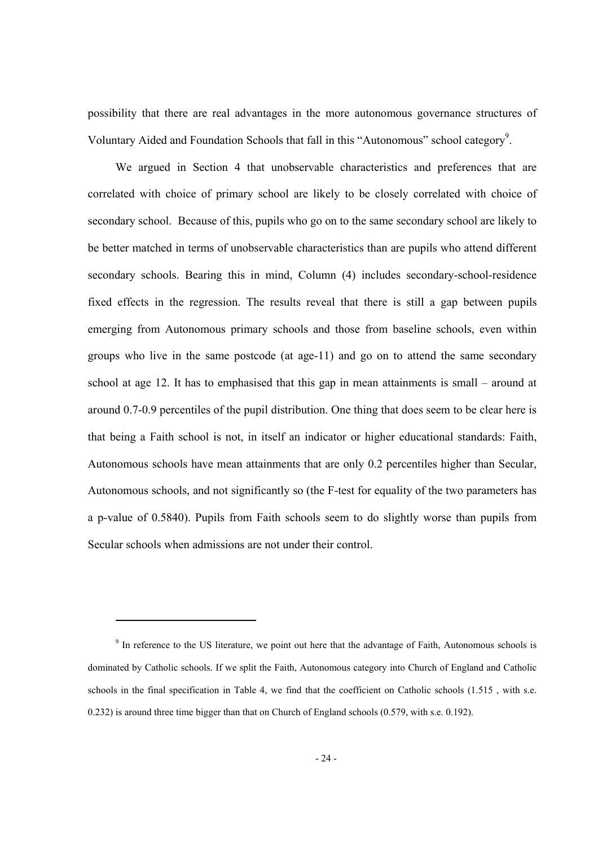possibility that there are real advantages in the more autonomous governance structures of Voluntary Aided and Foundation Schools that fall in this "Autonomous" school category<sup>9</sup>.

We argued in Section 4 that unobservable characteristics and preferences that are correlated with choice of primary school are likely to be closely correlated with choice of secondary school. Because of this, pupils who go on to the same secondary school are likely to be better matched in terms of unobservable characteristics than are pupils who attend different secondary schools. Bearing this in mind, Column (4) includes secondary-school-residence fixed effects in the regression. The results reveal that there is still a gap between pupils emerging from Autonomous primary schools and those from baseline schools, even within groups who live in the same postcode (at age-11) and go on to attend the same secondary school at age 12. It has to emphasised that this gap in mean attainments is small – around at around 0.7-0.9 percentiles of the pupil distribution. One thing that does seem to be clear here is that being a Faith school is not, in itself an indicator or higher educational standards: Faith, Autonomous schools have mean attainments that are only 0.2 percentiles higher than Secular, Autonomous schools, and not significantly so (the F-test for equality of the two parameters has a p-value of 0.5840). Pupils from Faith schools seem to do slightly worse than pupils from Secular schools when admissions are not under their control.

-

<sup>&</sup>lt;sup>9</sup> In reference to the US literature, we point out here that the advantage of Faith, Autonomous schools is dominated by Catholic schools. If we split the Faith, Autonomous category into Church of England and Catholic schools in the final specification in Table 4, we find that the coefficient on Catholic schools (1.515 , with s.e. 0.232) is around three time bigger than that on Church of England schools (0.579, with s.e. 0.192).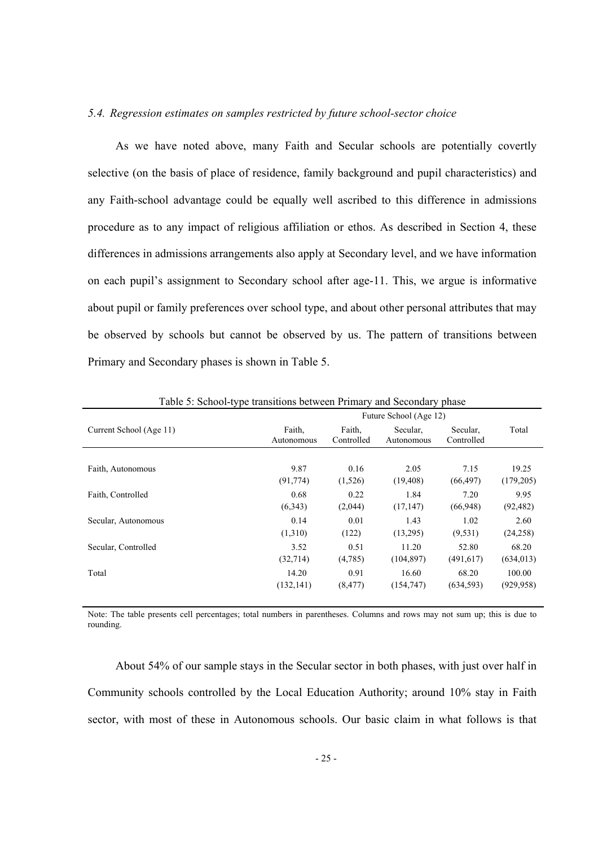### *5.4. Regression estimates on samples restricted by future school-sector choice*

As we have noted above, many Faith and Secular schools are potentially covertly selective (on the basis of place of residence, family background and pupil characteristics) and any Faith-school advantage could be equally well ascribed to this difference in admissions procedure as to any impact of religious affiliation or ethos. As described in Section 4, these differences in admissions arrangements also apply at Secondary level, and we have information on each pupil's assignment to Secondary school after age-11. This, we argue is informative about pupil or family preferences over school type, and about other personal attributes that may be observed by schools but cannot be observed by us. The pattern of transitions between Primary and Secondary phases is shown in Table 5.

| Current School (Age 11) | Faith.<br>Autonomous | Faith,<br>Controlled | Secular,<br>Autonomous | Secular.<br>Controlled | Total      |
|-------------------------|----------------------|----------------------|------------------------|------------------------|------------|
|                         |                      |                      |                        |                        |            |
| Faith, Autonomous       | 9.87                 | 0.16                 | 2.05                   | 7.15                   | 19.25      |
|                         | (91, 774)            | (1,526)              | (19, 408)              | (66, 497)              | (179, 205) |
| Faith, Controlled       | 0.68                 | 0.22                 | 1.84                   | 7.20                   | 9.95       |
|                         | (6,343)              | (2,044)              | (17, 147)              | (66,948)               | (92, 482)  |
| Secular, Autonomous     | 0.14                 | 0.01                 | 1.43                   | 1.02                   | 2.60       |
|                         | (1,310)              | (122)                | (13,295)               | (9, 531)               | (24, 258)  |
| Secular, Controlled     | 3.52                 | 0.51                 | 11.20                  | 52.80                  | 68.20      |
|                         | (32,714)             | (4,785)              | (104, 897)             | (491, 617)             | (634, 013) |
| Total                   | 14.20                | 0.91                 | 16.60                  | 68.20                  | 100.00     |
|                         | (132, 141)           | (8, 477)             | (154, 747)             | (634, 593)             | (929, 958) |

Table 5: School-type transitions between Primary and Secondary phase

Note: The table presents cell percentages; total numbers in parentheses. Columns and rows may not sum up; this is due to rounding.

About 54% of our sample stays in the Secular sector in both phases, with just over half in Community schools controlled by the Local Education Authority; around 10% stay in Faith sector, with most of these in Autonomous schools. Our basic claim in what follows is that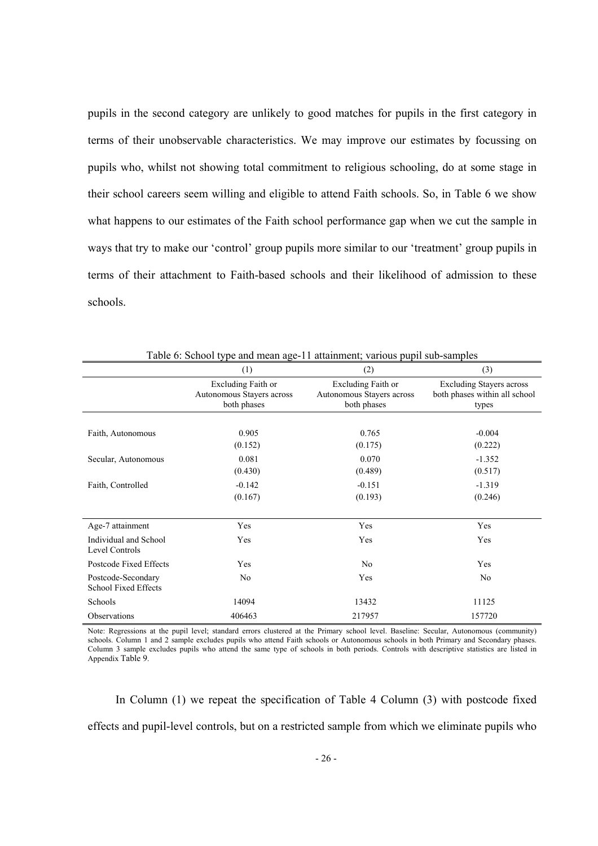pupils in the second category are unlikely to good matches for pupils in the first category in terms of their unobservable characteristics. We may improve our estimates by focussing on pupils who, whilst not showing total commitment to religious schooling, do at some stage in their school careers seem willing and eligible to attend Faith schools. So, in Table 6 we show what happens to our estimates of the Faith school performance gap when we cut the sample in ways that try to make our 'control' group pupils more similar to our 'treatment' group pupils in terms of their attachment to Faith-based schools and their likelihood of admission to these schools.

|                                                   | (1)                                                            | (2)                                                            | (3)                                                                       |
|---------------------------------------------------|----------------------------------------------------------------|----------------------------------------------------------------|---------------------------------------------------------------------------|
|                                                   | Excluding Faith or<br>Autonomous Stayers across<br>both phases | Excluding Faith or<br>Autonomous Stayers across<br>both phases | <b>Excluding Stayers across</b><br>both phases within all school<br>types |
|                                                   |                                                                |                                                                |                                                                           |
| Faith, Autonomous                                 | 0.905                                                          | 0.765                                                          | $-0.004$                                                                  |
|                                                   | (0.152)                                                        | (0.175)                                                        | (0.222)                                                                   |
| Secular, Autonomous                               | 0.081                                                          | 0.070                                                          | $-1.352$                                                                  |
|                                                   | (0.430)                                                        | (0.489)                                                        | (0.517)                                                                   |
| Faith, Controlled                                 | $-0.142$                                                       | $-0.151$                                                       | $-1.319$                                                                  |
|                                                   | (0.167)                                                        | (0.193)                                                        | (0.246)                                                                   |
| Age-7 attainment                                  | Yes                                                            | Yes                                                            | Yes                                                                       |
| Individual and School<br>Level Controls           | Yes                                                            | Yes                                                            | Yes                                                                       |
| Postcode Fixed Effects                            | Yes                                                            | No                                                             | Yes                                                                       |
| Postcode-Secondary<br><b>School Fixed Effects</b> | No                                                             | Yes                                                            | N <sub>0</sub>                                                            |
| Schools                                           | 14094                                                          | 13432                                                          | 11125                                                                     |
| Observations                                      | 406463                                                         | 217957                                                         | 157720                                                                    |

Table 6: School type and mean age-11 attainment; various pupil sub-samples

Note: Regressions at the pupil level; standard errors clustered at the Primary school level. Baseline: Secular, Autonomous (community) schools. Column 1 and 2 sample excludes pupils who attend Faith schools or Autonomous schools in both Primary and Secondary phases. Column 3 sample excludes pupils who attend the same type of schools in both periods. Controls with descriptive statistics are listed in Appendix Table 9.

In Column (1) we repeat the specification of Table 4 Column (3) with postcode fixed effects and pupil-level controls, but on a restricted sample from which we eliminate pupils who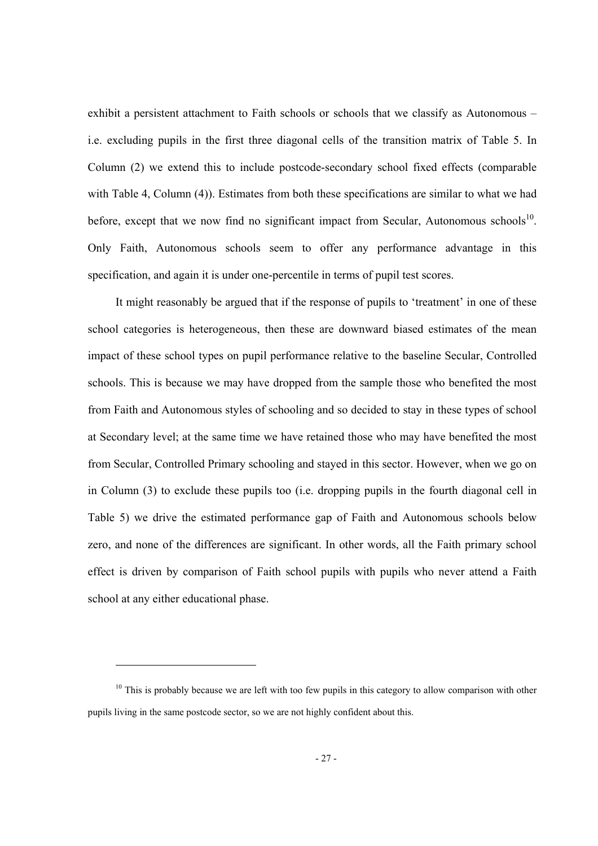exhibit a persistent attachment to Faith schools or schools that we classify as Autonomous – i.e. excluding pupils in the first three diagonal cells of the transition matrix of Table 5. In Column (2) we extend this to include postcode-secondary school fixed effects (comparable with Table 4, Column (4)). Estimates from both these specifications are similar to what we had before, except that we now find no significant impact from Secular, Autonomous schools<sup>10</sup>. Only Faith, Autonomous schools seem to offer any performance advantage in this specification, and again it is under one-percentile in terms of pupil test scores.

It might reasonably be argued that if the response of pupils to 'treatment' in one of these school categories is heterogeneous, then these are downward biased estimates of the mean impact of these school types on pupil performance relative to the baseline Secular, Controlled schools. This is because we may have dropped from the sample those who benefited the most from Faith and Autonomous styles of schooling and so decided to stay in these types of school at Secondary level; at the same time we have retained those who may have benefited the most from Secular, Controlled Primary schooling and stayed in this sector. However, when we go on in Column (3) to exclude these pupils too (i.e. dropping pupils in the fourth diagonal cell in Table 5) we drive the estimated performance gap of Faith and Autonomous schools below zero, and none of the differences are significant. In other words, all the Faith primary school effect is driven by comparison of Faith school pupils with pupils who never attend a Faith school at any either educational phase.

-

 $10$  This is probably because we are left with too few pupils in this category to allow comparison with other pupils living in the same postcode sector, so we are not highly confident about this.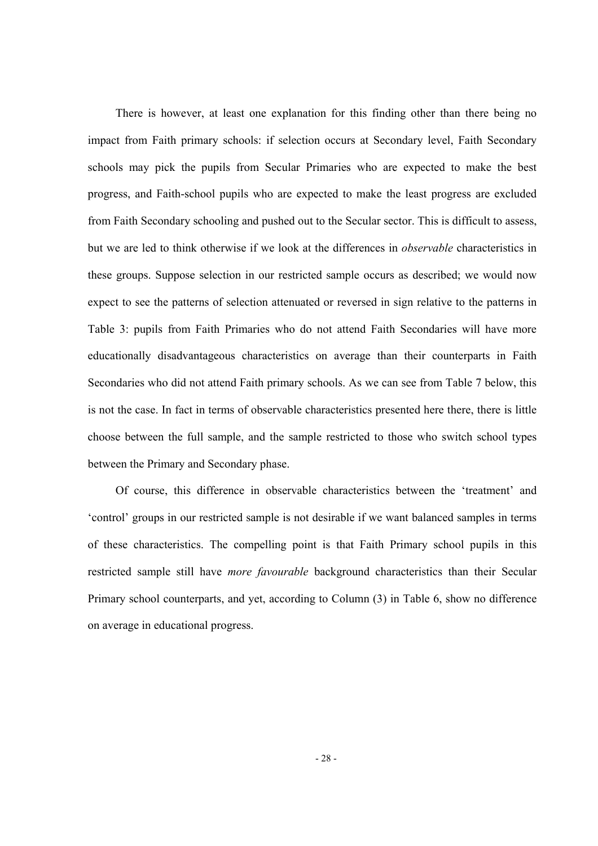There is however, at least one explanation for this finding other than there being no impact from Faith primary schools: if selection occurs at Secondary level, Faith Secondary schools may pick the pupils from Secular Primaries who are expected to make the best progress, and Faith-school pupils who are expected to make the least progress are excluded from Faith Secondary schooling and pushed out to the Secular sector. This is difficult to assess, but we are led to think otherwise if we look at the differences in *observable* characteristics in these groups. Suppose selection in our restricted sample occurs as described; we would now expect to see the patterns of selection attenuated or reversed in sign relative to the patterns in Table 3: pupils from Faith Primaries who do not attend Faith Secondaries will have more educationally disadvantageous characteristics on average than their counterparts in Faith Secondaries who did not attend Faith primary schools. As we can see from Table 7 below, this is not the case. In fact in terms of observable characteristics presented here there, there is little choose between the full sample, and the sample restricted to those who switch school types between the Primary and Secondary phase.

Of course, this difference in observable characteristics between the 'treatment' and 'control' groups in our restricted sample is not desirable if we want balanced samples in terms of these characteristics. The compelling point is that Faith Primary school pupils in this restricted sample still have *more favourable* background characteristics than their Secular Primary school counterparts, and yet, according to Column (3) in Table 6, show no difference on average in educational progress.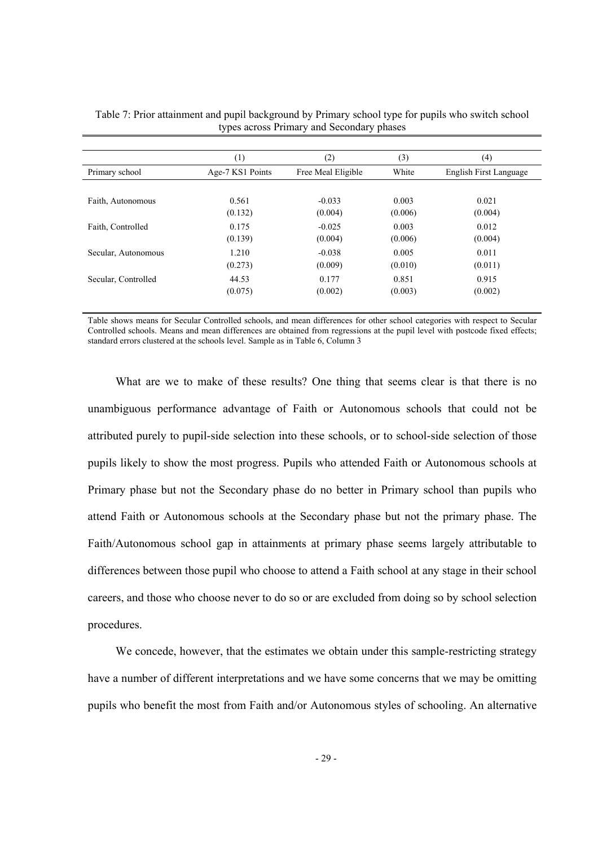|                     | (1)              | (2)                | (3)     | (4)                    |
|---------------------|------------------|--------------------|---------|------------------------|
| Primary school      | Age-7 KS1 Points | Free Meal Eligible | White   | English First Language |
|                     |                  |                    |         |                        |
| Faith, Autonomous   | 0.561            | $-0.033$           | 0.003   | 0.021                  |
|                     | (0.132)          | (0.004)            | (0.006) | (0.004)                |
| Faith, Controlled   | 0.175            | $-0.025$           | 0.003   | 0.012                  |
|                     | (0.139)          | (0.004)            | (0.006) | (0.004)                |
| Secular, Autonomous | 1.210            | $-0.038$           | 0.005   | 0.011                  |
|                     | (0.273)          | (0.009)            | (0.010) | (0.011)                |
| Secular, Controlled | 44.53            | 0.177              | 0.851   | 0.915                  |
|                     | (0.075)          | (0.002)            | (0.003) | (0.002)                |

Table 7: Prior attainment and pupil background by Primary school type for pupils who switch school types across Primary and Secondary phases

Table shows means for Secular Controlled schools, and mean differences for other school categories with respect to Secular Controlled schools. Means and mean differences are obtained from regressions at the pupil level with postcode fixed effects; standard errors clustered at the schools level. Sample as in Table 6, Column 3

What are we to make of these results? One thing that seems clear is that there is no unambiguous performance advantage of Faith or Autonomous schools that could not be attributed purely to pupil-side selection into these schools, or to school-side selection of those pupils likely to show the most progress. Pupils who attended Faith or Autonomous schools at Primary phase but not the Secondary phase do no better in Primary school than pupils who attend Faith or Autonomous schools at the Secondary phase but not the primary phase. The Faith/Autonomous school gap in attainments at primary phase seems largely attributable to differences between those pupil who choose to attend a Faith school at any stage in their school careers, and those who choose never to do so or are excluded from doing so by school selection procedures.

We concede, however, that the estimates we obtain under this sample-restricting strategy have a number of different interpretations and we have some concerns that we may be omitting pupils who benefit the most from Faith and/or Autonomous styles of schooling. An alternative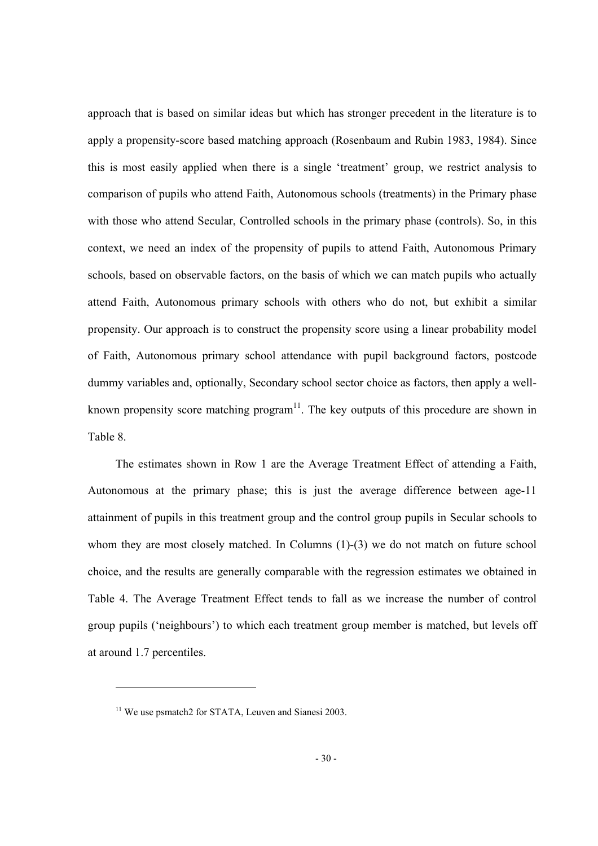approach that is based on similar ideas but which has stronger precedent in the literature is to apply a propensity-score based matching approach (Rosenbaum and Rubin 1983, 1984). Since this is most easily applied when there is a single 'treatment' group, we restrict analysis to comparison of pupils who attend Faith, Autonomous schools (treatments) in the Primary phase with those who attend Secular, Controlled schools in the primary phase (controls). So, in this context, we need an index of the propensity of pupils to attend Faith, Autonomous Primary schools, based on observable factors, on the basis of which we can match pupils who actually attend Faith, Autonomous primary schools with others who do not, but exhibit a similar propensity. Our approach is to construct the propensity score using a linear probability model of Faith, Autonomous primary school attendance with pupil background factors, postcode dummy variables and, optionally, Secondary school sector choice as factors, then apply a wellknown propensity score matching program $11$ . The key outputs of this procedure are shown in Table 8.

The estimates shown in Row 1 are the Average Treatment Effect of attending a Faith, Autonomous at the primary phase; this is just the average difference between age-11 attainment of pupils in this treatment group and the control group pupils in Secular schools to whom they are most closely matched. In Columns (1)-(3) we do not match on future school choice, and the results are generally comparable with the regression estimates we obtained in Table 4. The Average Treatment Effect tends to fall as we increase the number of control group pupils ('neighbours') to which each treatment group member is matched, but levels off at around 1.7 percentiles.

-

<sup>&</sup>lt;sup>11</sup> We use psmatch2 for STATA, Leuven and Sianesi 2003.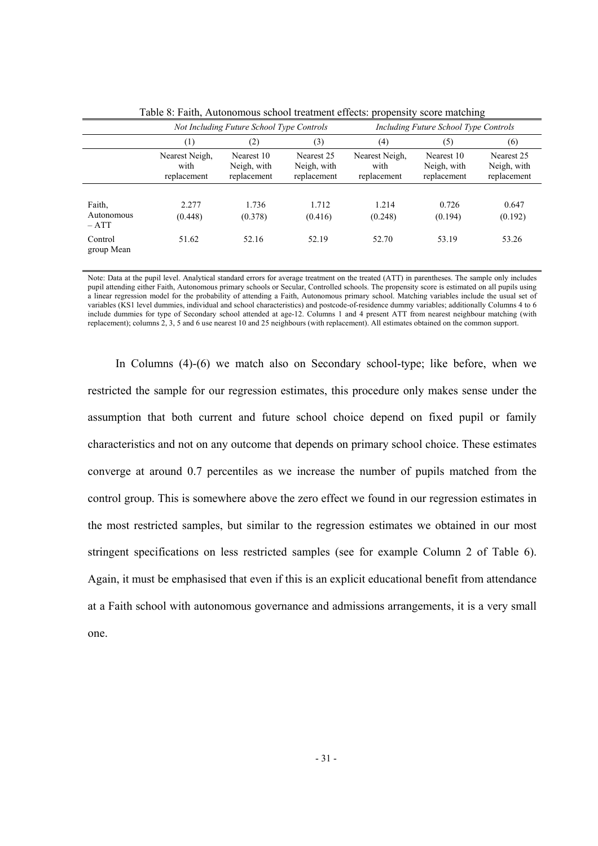|                             |                                       | Not Including Future School Type Controls |                                          | Including Future School Type Controls |                                          |                                          |  |
|-----------------------------|---------------------------------------|-------------------------------------------|------------------------------------------|---------------------------------------|------------------------------------------|------------------------------------------|--|
|                             | (3)<br>(2)<br>$\left(1\right)$        |                                           |                                          | (4)                                   | (5)                                      | (6)                                      |  |
|                             | Nearest Neigh,<br>with<br>replacement | Nearest 10<br>Neigh, with<br>replacement  | Nearest 25<br>Neigh, with<br>replacement | Nearest Neigh.<br>with<br>replacement | Nearest 10<br>Neigh, with<br>replacement | Nearest 25<br>Neigh, with<br>replacement |  |
|                             |                                       |                                           |                                          |                                       |                                          |                                          |  |
| Faith.                      | 2.277                                 | 1.736                                     | 1.712                                    | 1.214                                 | 0.726                                    | 0.647                                    |  |
| <b>Autonomous</b><br>$-ATT$ | (0.448)                               | (0.378)                                   | (0.416)                                  | (0.248)                               | (0.194)                                  | (0.192)                                  |  |
| Control<br>group Mean       | 51.62                                 | 52.16                                     | 52.19                                    | 52.70                                 | 53.19                                    | 53.26                                    |  |

Table 8: Faith, Autonomous school treatment effects: propensity score matching

Note: Data at the pupil level. Analytical standard errors for average treatment on the treated (ATT) in parentheses. The sample only includes pupil attending either Faith, Autonomous primary schools or Secular, Controlled schools. The propensity score is estimated on all pupils using a linear regression model for the probability of attending a Faith, Autonomous primary school. Matching variables include the usual set of variables (KS1 level dummies, individual and school characteristics) and postcode-of-residence dummy variables; additionally Columns 4 to 6 include dummies for type of Secondary school attended at age-12. Columns 1 and 4 present ATT from nearest neighbour matching (with replacement); columns 2, 3, 5 and 6 use nearest 10 and 25 neighbours (with replacement). All estimates obtained on the common support.

In Columns (4)-(6) we match also on Secondary school-type; like before, when we restricted the sample for our regression estimates, this procedure only makes sense under the assumption that both current and future school choice depend on fixed pupil or family characteristics and not on any outcome that depends on primary school choice. These estimates converge at around 0.7 percentiles as we increase the number of pupils matched from the control group. This is somewhere above the zero effect we found in our regression estimates in the most restricted samples, but similar to the regression estimates we obtained in our most stringent specifications on less restricted samples (see for example Column 2 of Table 6). Again, it must be emphasised that even if this is an explicit educational benefit from attendance at a Faith school with autonomous governance and admissions arrangements, it is a very small one.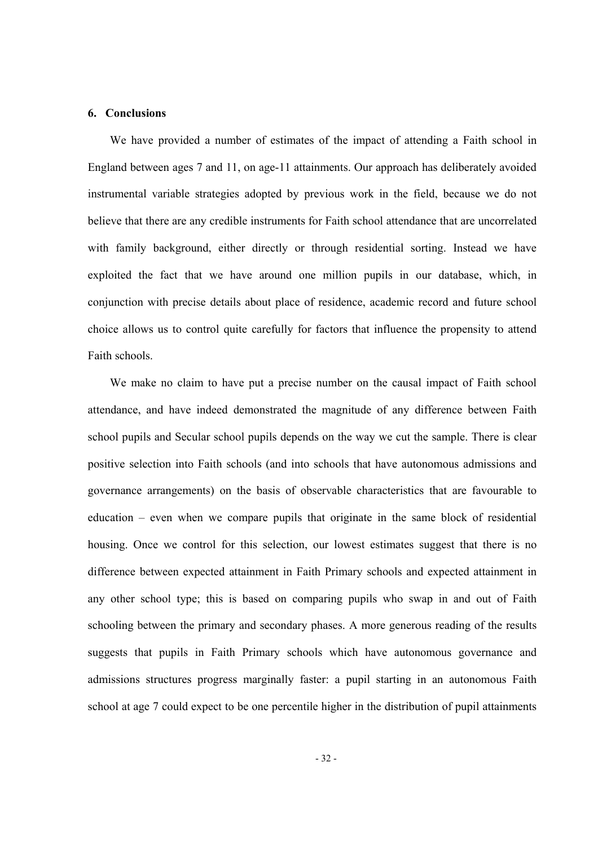# **6. Conclusions**

We have provided a number of estimates of the impact of attending a Faith school in England between ages 7 and 11, on age-11 attainments. Our approach has deliberately avoided instrumental variable strategies adopted by previous work in the field, because we do not believe that there are any credible instruments for Faith school attendance that are uncorrelated with family background, either directly or through residential sorting. Instead we have exploited the fact that we have around one million pupils in our database, which, in conjunction with precise details about place of residence, academic record and future school choice allows us to control quite carefully for factors that influence the propensity to attend Faith schools.

We make no claim to have put a precise number on the causal impact of Faith school attendance, and have indeed demonstrated the magnitude of any difference between Faith school pupils and Secular school pupils depends on the way we cut the sample. There is clear positive selection into Faith schools (and into schools that have autonomous admissions and governance arrangements) on the basis of observable characteristics that are favourable to education – even when we compare pupils that originate in the same block of residential housing. Once we control for this selection, our lowest estimates suggest that there is no difference between expected attainment in Faith Primary schools and expected attainment in any other school type; this is based on comparing pupils who swap in and out of Faith schooling between the primary and secondary phases. A more generous reading of the results suggests that pupils in Faith Primary schools which have autonomous governance and admissions structures progress marginally faster: a pupil starting in an autonomous Faith school at age 7 could expect to be one percentile higher in the distribution of pupil attainments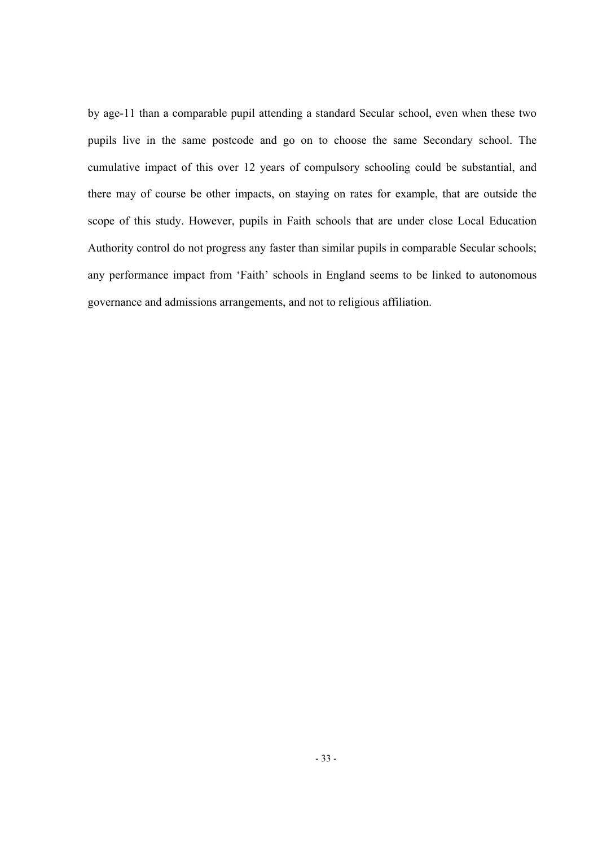by age-11 than a comparable pupil attending a standard Secular school, even when these two pupils live in the same postcode and go on to choose the same Secondary school. The cumulative impact of this over 12 years of compulsory schooling could be substantial, and there may of course be other impacts, on staying on rates for example, that are outside the scope of this study. However, pupils in Faith schools that are under close Local Education Authority control do not progress any faster than similar pupils in comparable Secular schools; any performance impact from 'Faith' schools in England seems to be linked to autonomous governance and admissions arrangements, and not to religious affiliation.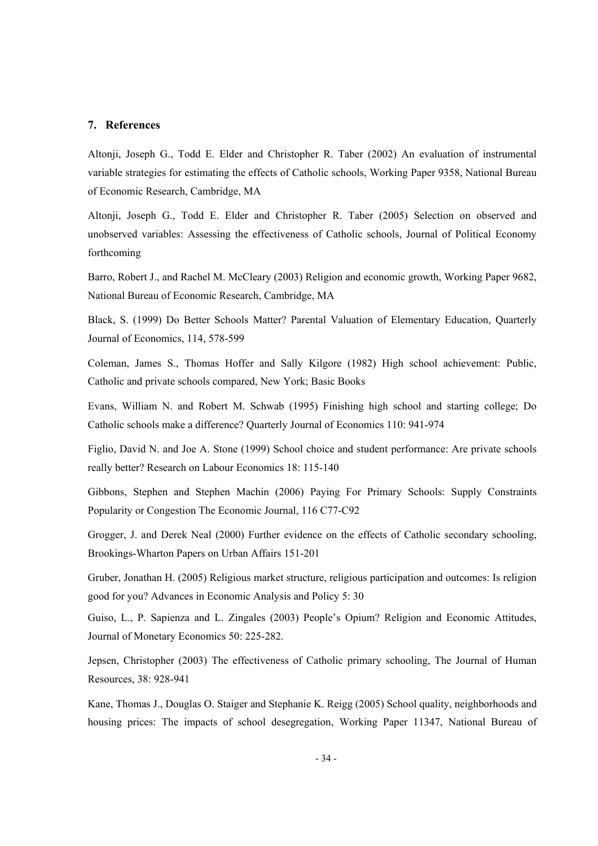#### **7. References**

Altonji, Joseph G., Todd E. Elder and Christopher R. Taber (2002) An evaluation of instrumental variable strategies for estimating the effects of Catholic schools, Working Paper 9358, National Bureau of Economic Research, Cambridge, MA

Altonji, Joseph G., Todd E. Elder and Christopher R. Taber (2005) Selection on observed and unobserved variables: Assessing the effectiveness of Catholic schools, Journal of Political Economy forthcoming

Barro, Robert J., and Rachel M. McCleary (2003) Religion and economic growth, Working Paper 9682, National Bureau of Economic Research, Cambridge, MA

Black, S. (1999) Do Better Schools Matter? Parental Valuation of Elementary Education, Quarterly Journal of Economics, 114, 578-599

Coleman, James S., Thomas Hoffer and Sally Kilgore (1982) High school achievement: Public, Catholic and private schools compared, New York; Basic Books

Evans, William N. and Robert M. Schwab (1995) Finishing high school and starting college; Do Catholic schools make a difference? Quarterly Journal of Economics 110: 941-974

Figlio, David N. and Joe A. Stone (1999) School choice and student performance: Are private schools really better? Research on Labour Economics 18: 115-140

Gibbons, Stephen and Stephen Machin (2006) Paying For Primary Schools: Supply Constraints Popularity or Congestion The Economic Journal, 116 C77-C92

Grogger, J. and Derek Neal (2000) Further evidence on the effects of Catholic secondary schooling, Brookings-Wharton Papers on Urban Affairs 151-201

Gruber, Jonathan H. (2005) Religious market structure, religious participation and outcomes: Is religion good for you? Advances in Economic Analysis and Policy 5: 30

Guiso, L., P. Sapienza and L. Zingales (2003) People's Opium? Religion and Economic Attitudes, Journal of Monetary Economics 50: 225-282.

Jepsen, Christopher (2003) The effectiveness of Catholic primary schooling, The Journal of Human Resources, 38: 928-941

Kane, Thomas J., Douglas O. Staiger and Stephanie K. Reigg (2005) School quality, neighborhoods and housing prices: The impacts of school desegregation, Working Paper 11347, National Bureau of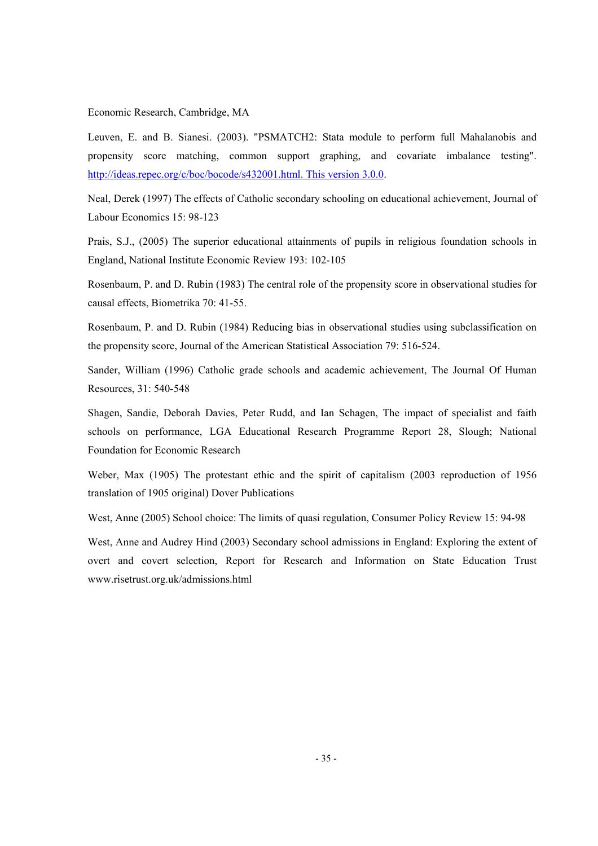Economic Research, Cambridge, MA

Leuven, E. and B. Sianesi. (2003). "PSMATCH2: Stata module to perform full Mahalanobis and propensity score matching, common support graphing, and covariate imbalance testing". http://ideas.repec.org/c/boc/bocode/s432001.html. This version 3.0.0.

Neal, Derek (1997) The effects of Catholic secondary schooling on educational achievement, Journal of Labour Economics 15: 98-123

Prais, S.J., (2005) The superior educational attainments of pupils in religious foundation schools in England, National Institute Economic Review 193: 102-105

Rosenbaum, P. and D. Rubin (1983) The central role of the propensity score in observational studies for causal effects, Biometrika 70: 41-55.

Rosenbaum, P. and D. Rubin (1984) Reducing bias in observational studies using subclassification on the propensity score, Journal of the American Statistical Association 79: 516-524.

Sander, William (1996) Catholic grade schools and academic achievement, The Journal Of Human Resources, 31: 540-548

Shagen, Sandie, Deborah Davies, Peter Rudd, and Ian Schagen, The impact of specialist and faith schools on performance, LGA Educational Research Programme Report 28, Slough; National Foundation for Economic Research

Weber, Max (1905) The protestant ethic and the spirit of capitalism (2003 reproduction of 1956 translation of 1905 original) Dover Publications

West, Anne (2005) School choice: The limits of quasi regulation, Consumer Policy Review 15: 94-98

West, Anne and Audrey Hind (2003) Secondary school admissions in England: Exploring the extent of overt and covert selection, Report for Research and Information on State Education Trust www.risetrust.org.uk/admissions.html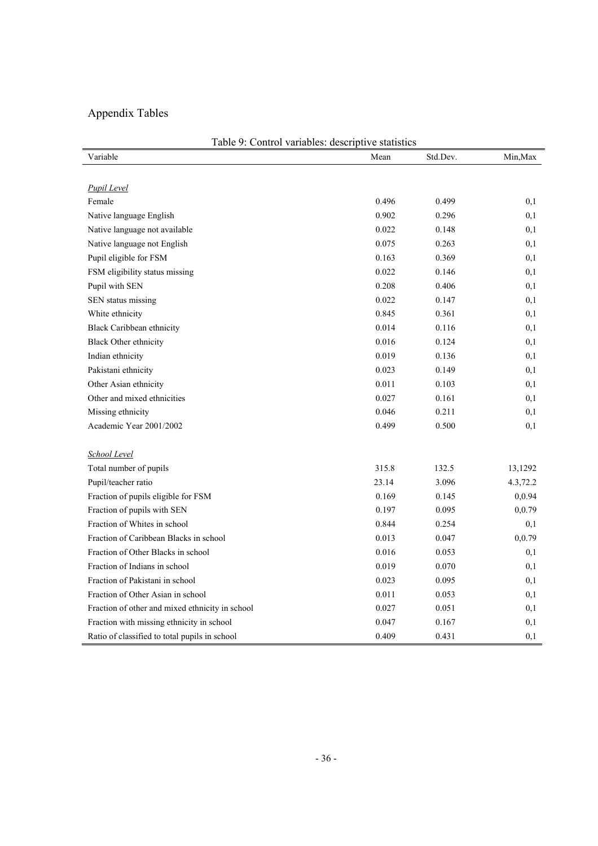# Appendix Tables

| Table 9: Control variables: descriptive statistics |       |          |          |  |  |  |  |
|----------------------------------------------------|-------|----------|----------|--|--|--|--|
| Variable                                           | Mean  | Std.Dev. | Min, Max |  |  |  |  |
|                                                    |       |          |          |  |  |  |  |
| <b>Pupil Level</b>                                 |       |          |          |  |  |  |  |
| Female                                             | 0.496 | 0.499    | 0,1      |  |  |  |  |
| Native language English                            | 0.902 | 0.296    | 0,1      |  |  |  |  |
| Native language not available                      | 0.022 | 0.148    | 0,1      |  |  |  |  |
| Native language not English                        | 0.075 | 0.263    | 0,1      |  |  |  |  |
| Pupil eligible for FSM                             | 0.163 | 0.369    | 0,1      |  |  |  |  |
| FSM eligibility status missing                     | 0.022 | 0.146    | 0,1      |  |  |  |  |
| Pupil with SEN                                     | 0.208 | 0.406    | 0,1      |  |  |  |  |
| SEN status missing                                 | 0.022 | 0.147    | 0,1      |  |  |  |  |
| White ethnicity                                    | 0.845 | 0.361    | 0,1      |  |  |  |  |
| <b>Black Caribbean ethnicity</b>                   | 0.014 | 0.116    | 0,1      |  |  |  |  |
| <b>Black Other ethnicity</b>                       | 0.016 | 0.124    | 0,1      |  |  |  |  |
| Indian ethnicity                                   | 0.019 | 0.136    | 0,1      |  |  |  |  |
| Pakistani ethnicity                                | 0.023 | 0.149    | 0,1      |  |  |  |  |
| Other Asian ethnicity                              | 0.011 | 0.103    | 0,1      |  |  |  |  |
| Other and mixed ethnicities                        | 0.027 | 0.161    | 0,1      |  |  |  |  |
| Missing ethnicity                                  | 0.046 | 0.211    | 0,1      |  |  |  |  |
| Academic Year 2001/2002                            | 0.499 | 0.500    | 0,1      |  |  |  |  |
|                                                    |       |          |          |  |  |  |  |
| School Level                                       |       |          |          |  |  |  |  |
| Total number of pupils                             | 315.8 | 132.5    | 13,1292  |  |  |  |  |
| Pupil/teacher ratio                                | 23.14 | 3.096    | 4.3,72.2 |  |  |  |  |
| Fraction of pupils eligible for FSM                | 0.169 | 0.145    | 0,0.94   |  |  |  |  |
| Fraction of pupils with SEN                        | 0.197 | 0.095    | 0,0.79   |  |  |  |  |
| Fraction of Whites in school                       | 0.844 | 0.254    | 0,1      |  |  |  |  |
| Fraction of Caribbean Blacks in school             | 0.013 | 0.047    | 0,0.79   |  |  |  |  |
| Fraction of Other Blacks in school                 | 0.016 | 0.053    | 0,1      |  |  |  |  |
| Fraction of Indians in school                      | 0.019 | 0.070    | 0,1      |  |  |  |  |
| Fraction of Pakistani in school                    | 0.023 | 0.095    | 0,1      |  |  |  |  |
| Fraction of Other Asian in school                  | 0.011 | 0.053    | 0,1      |  |  |  |  |
| Fraction of other and mixed ethnicity in school    | 0.027 | 0.051    | 0,1      |  |  |  |  |
| Fraction with missing ethnicity in school          | 0.047 | 0.167    | 0,1      |  |  |  |  |
| Ratio of classified to total pupils in school      | 0.409 | 0.431    | 0,1      |  |  |  |  |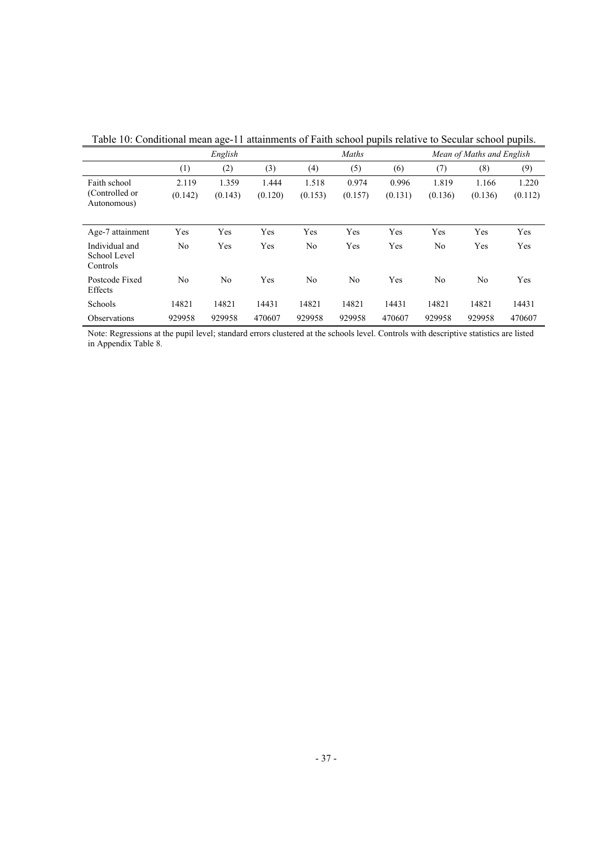|                                                | English          |                  |                  | Maths            |                  |                  | Mean of Maths and English |                  |                  |
|------------------------------------------------|------------------|------------------|------------------|------------------|------------------|------------------|---------------------------|------------------|------------------|
|                                                | (1)              | (2)              | (3)              | (4)              | (5)              | (6)              | (7)                       | (8)              | (9)              |
| Faith school<br>(Controlled or)<br>Autonomous) | 2.119<br>(0.142) | 1.359<br>(0.143) | 1.444<br>(0.120) | 1.518<br>(0.153) | 0.974<br>(0.157) | 0.996<br>(0.131) | 1.819<br>(0.136)          | 1.166<br>(0.136) | 1.220<br>(0.112) |
| Age-7 attainment                               | Yes              | Yes              | Yes              | Yes              | Yes              | Yes              | Yes                       | Yes              | Yes              |
| Individual and<br>School Level<br>Controls     | N <sub>0</sub>   | Yes              | Yes              | No               | Yes              | Yes              | N <sub>0</sub>            | Yes              | Yes              |
| Postcode Fixed<br>Effects                      | N <sub>0</sub>   | No               | Yes              | No               | N <sub>0</sub>   | Yes              | N <sub>0</sub>            | N <sub>0</sub>   | Yes              |
| Schools                                        | 14821            | 14821            | 14431            | 14821            | 14821            | 14431            | 14821                     | 14821            | 14431            |
| Observations                                   | 929958           | 929958           | 470607           | 929958           | 929958           | 470607           | 929958                    | 929958           | 470607           |

Table 10: Conditional mean age-11 attainments of Faith school pupils relative to Secular school pupils.

Note: Regressions at the pupil level; standard errors clustered at the schools level. Controls with descriptive statistics are listed in Appendix Table 8.